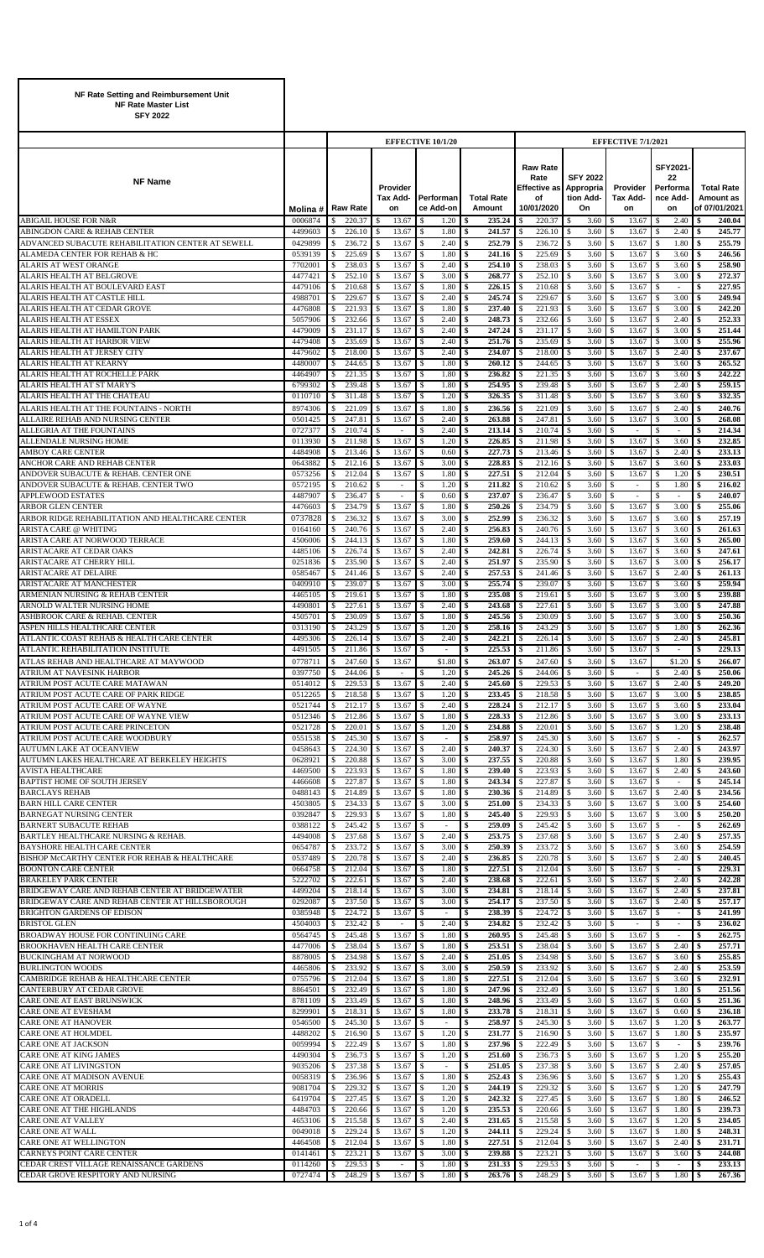| NF Rate Setting and Reimbursement Unit<br><b>NF Rate Master List</b><br><b>SFY 2022</b> |                    |                                                  |                                                  |                                                |                                 |                                                             |                                                 |                                                  |                                                     |                                                 |
|-----------------------------------------------------------------------------------------|--------------------|--------------------------------------------------|--------------------------------------------------|------------------------------------------------|---------------------------------|-------------------------------------------------------------|-------------------------------------------------|--------------------------------------------------|-----------------------------------------------------|-------------------------------------------------|
|                                                                                         |                    |                                                  |                                                  | <b>EFFECTIVE 10/1/20</b>                       |                                 |                                                             |                                                 | <b>EFFECTIVE 7/1/2021</b>                        |                                                     |                                                 |
| <b>NF Name</b>                                                                          | Molina#            | <b>Raw Rate</b>                                  | Provider<br><b>Tax Add-</b><br>on                | Performan<br>ce Add-on                         | <b>Total Rate</b><br>Amount     | <b>Raw Rate</b><br>Rate<br>Effective as<br>of<br>10/01/2020 | <b>SFY 2022</b><br>Appropria<br>tion Add-<br>On | Provider<br>Tax Add-<br>on                       | SFY2021<br>22<br>Performa<br>nce Add-<br>on         | <b>Total Rate</b><br>Amount as<br>of 07/01/2021 |
| <b>ABIGAIL HOUSE FOR N&amp;R</b><br>ABINGDON CARE & REHAB CENTER                        | 0006874<br>4499603 | 220.37<br>\$<br>226.10<br>\$                     | 13.67<br><sup>\$</sup><br>13.67<br><sup>\$</sup> | \$<br>1.20<br>1.80<br><sup>\$</sup>            | 235.24<br>241.57<br>\$          | 220.37<br>\$<br>226.10                                      | 3.60<br>\$<br>3.60<br>S                         | 13.67<br>-S<br>13.67<br>-S                       | 2.40<br>\$<br>2.40<br>S                             | 240.04<br>\$<br>245.77<br>Ŝ.                    |
| ADVANCED SUBACUTE REHABILITATION CENTER AT SEWELL                                       | 0429899            | \$<br>236.72                                     | 13.67<br>$\mathbf{\hat{S}}$                      | \$<br>2.40                                     | \$<br>252.79                    | 236.72                                                      | 3.60<br>\$                                      | 13.67<br>\$                                      | 1.80<br>\$                                          | \$<br>255.79                                    |
| ALAMEDA CENTER FOR REHAB & HC<br>ALARIS AT WEST ORANGE                                  | 0539139<br>7702001 | 225.69<br>\$<br>238.03<br>\$                     | 13.67<br><sup>\$</sup><br>13.67<br>-S            | 1.80<br><sup>\$</sup><br>2.40<br><sup>\$</sup> | 241.16<br>\$<br>254.10<br>\$    | 225.69<br>238.03                                            | 3.60<br>\$<br>3.60                              | 13.67<br>-S<br>13.67<br>-S                       | 3.60<br>\$<br>3.60<br>S                             | 246.56<br>\$<br>258.90<br>\$                    |
| ALARIS HEALTH AT BELGROVE                                                               | 4477421            | 252.10<br>\$                                     | 13.67<br>\$                                      | 3.00<br>$\mathbf{s}$                           | 268.77<br>\$                    | 252.10                                                      | 3.60                                            | <sup>\$</sup><br>13.67                           | 3.00<br>\$                                          | 272.37<br>\$                                    |
| ALARIS HEALTH AT BOULEVARD EAST<br>ALARIS HEALTH AT CASTLE HILL                         | 4479106<br>4988701 | 210.68<br>\$<br>229.67<br>\$                     | 13.67<br><sup>\$</sup><br>13.67<br><sup>\$</sup> | 1.80<br>\$<br>2.40<br>\$                       | 226.15<br>\$<br>\$<br>245.74    | 210.68<br>229.67                                            | 3.60<br>3.60                                    | 13.67<br>-S<br>13.67<br>-S                       | S<br>$\overline{\phantom{a}}$<br>3.00<br>S          | 227.95<br>\$<br>\$<br>249.94                    |
| ALARIS HEALTH AT CEDAR GROVE                                                            | 4476808            | \$<br>221.93                                     | 13.67<br>\$                                      | \$<br>1.80                                     | 237.40<br>\$                    | 221.93                                                      | 3.60<br>\$                                      | <sup>\$</sup><br>13.67                           | 3.00<br>\$                                          | 242.20<br>\$                                    |
| <b>ALARIS HEALTH AT ESSEX</b><br>ALARIS HEALTH AT HAMILTON PARK                         | 5057906<br>4479009 | 232.66<br>\$<br>231.17<br>\$                     | 13.67<br><sup>\$</sup><br>13.67<br><sup>\$</sup> | 2.40<br>\$<br>2.40<br><sup>\$</sup>            | 248.73<br>\$<br>247.24<br>-\$   | 232.66<br>231.17                                            | 3.60<br>3.60                                    | 13.67<br>-S<br>13.67<br>-\$                      | 2.40<br>\$<br>3.00<br>\$                            | 252.33<br>\$<br>251.44<br>\$                    |
| ALARIS HEALTH AT HARBOR VIEW                                                            | 4479408            | 235.69<br>\$                                     | 13.67<br><sup>\$</sup>                           | 2.40<br><sup>\$</sup>                          | 251.76<br>\$                    | 235.69                                                      | 3.60                                            | 13.67<br>\$                                      | 3.00<br>\$                                          | 255.96<br>\$                                    |
| ALARIS HEALTH AT JERSEY CITY<br><b>ALARIS HEALTH AT KEARNY</b>                          | 4479602<br>4480007 | 218.00<br>-S<br>\$<br>244.65                     | 13.67<br><sup>\$</sup><br>13.67<br><sup>\$</sup> | 2.40<br>-S<br>1.80<br>\$                       | 234.07<br>\$<br>\$<br>260.12    | 218.00<br>244.65                                            | 3.60<br>3.60                                    | 13.67<br>-S<br><sup>\$</sup><br>13.67            | 2.40<br>S.<br>3.60<br>\$                            | 237.67<br>-\$<br>265.52<br>\$                   |
| ALARIS HEALTH AT ROCHELLE PARK                                                          | 4464907            | 221.35<br>\$                                     | $\mathbf{\hat{S}}$<br>13.67                      | <sup>\$</sup><br>1.80                          | 236.82<br>\$                    | 221.35                                                      | 3.60<br>\$                                      | <sup>\$</sup><br>13.67                           | \$<br>3.60                                          | 242.22<br>\$                                    |
| ALARIS HEALTH AT ST MARY'S<br>ALARIS HEALTH AT THE CHATEAU                              | 6799302<br>0110710 | 239.48<br>\$<br>311.48                           | 13.67<br><sup>\$</sup><br>13.67<br><sup>\$</sup> | 1.80<br>\$<br>1.20                             | 254.95<br>\$<br>326.35<br>Ś     | 239.48<br>311.48                                            | 3.60<br>\$<br>3.60<br>S                         | 13.67<br>-S<br>13.67<br>-S                       | 2.40<br>\$<br>3.60<br>\$                            | 259.15<br>\$<br>332.35<br>\$                    |
| ALARIS HEALTH AT THE FOUNTAINS - NORTH                                                  | 8974306            | \$<br>\$<br>221.09                               | 13.67<br><sup>\$</sup>                           | \$<br><sup>\$</sup><br>1.80                    | \$<br>236.56                    | 221.09                                                      | 3.60<br>\$.                                     | \$<br>13.67                                      | 2.40<br>\$                                          | \$<br>240.76                                    |
| ALLAIRE REHAB AND NURSING CENTER                                                        | 0501425            | 247.81<br>\$                                     | 13.67<br>$\mathbf{\hat{S}}$                      | \$<br>2.40                                     | 263.88<br>\$                    | 247.81                                                      | 3.60<br>\$                                      | \$<br>13.67                                      | 3.00<br>\$                                          | \$<br>268.08                                    |
| ALLEGRIA AT THE FOUNTAINS<br>ALLENDALE NURSING HOME                                     | 0727377<br>0113930 | 210.74<br>\$<br>211.98<br>S                      | <sup>\$</sup><br>$\sim$<br>13.67<br>-S           | 2.40<br>\$<br>1.20<br>-S                       | 213.14<br>\$<br>226.85<br>S     | 210.74<br>211.98                                            | 3.60<br>S<br>3.60                               | -S<br>٠<br>13.67<br>-S                           | S<br>$\sim$<br>3.60<br>S                            | 214.34<br>\$<br>232.85<br>\$                    |
| <b>AMBOY CARE CENTER</b>                                                                | 4484908            | 213.46<br>\$                                     | 13.67<br>\$                                      | 0.60<br>\$                                     | 227.73<br>\$                    | 213.46                                                      | 3.60<br>\$                                      | 13.67<br><sup>\$</sup>                           | 2.40<br>s.                                          | 233.13<br>\$                                    |
| ANCHOR CARE AND REHAB CENTER<br>ANDOVER SUBACUTE & REHAB. CENTER ONE                    | 0643882<br>0573256 | 212.16<br>S<br>212.04<br>\$                      | 13.67<br><sup>\$</sup><br>13.67<br>\$            | 3.00<br>\$<br>1.80<br>\$                       | 228.83<br>\$<br>227.51<br>\$    | 212.16<br>212.04                                            | 3.60<br>3.60                                    | 13.67<br>-S<br>13.67<br>-S                       | 3.60<br>S<br>1.20<br>\$                             | \$<br>233.03<br>230.51<br>\$                    |
| ANDOVER SUBACUTE & REHAB. CENTER TWO                                                    | 0572195            | 210.62<br>\$                                     | $\mathbf{\hat{S}}$<br>$\overline{\phantom{a}}$   | \$<br>1.20                                     | 211.82<br>\$                    | 210.62                                                      | 3.60                                            | <sup>\$</sup><br>$\overline{\phantom{a}}$        | \$<br>1.80                                          | \$<br>216.02                                    |
| <b>APPLEWOOD ESTATES</b>                                                                | 4487907            | 236.47<br>\$                                     | \$<br>$\sim$                                     | 0.60<br>\$                                     | 237.07<br>\$                    | 236.47                                                      | 3.60<br>S                                       | -S<br>$\sim$                                     | S<br>÷                                              | 240.07<br>\$                                    |
| <b>ARBOR GLEN CENTER</b><br>ARBOR RIDGE REHABILITATION AND HEALTHCARE CENTER            | 4476603<br>0737828 | 234.79<br>\$<br>236.32<br>\$                     | 13.67<br>\$<br>13.67<br>\$                       | 1.80<br>\$<br>3.00<br>\$                       | 250.26<br>-\$<br>252.99<br>\$   | 234.79<br>236.32                                            | 3.60<br>3.60<br>S.                              | 13.67<br>-S<br>13.67<br>\$                       | 3.00<br>S<br>\$<br>3.60                             | 255.06<br>\$<br>257.19<br>\$                    |
| ARISTA CARE @ WHITING                                                                   | 0164160            | 240.76<br>\$                                     | 13.67<br><sup>\$</sup>                           | 2.40<br>\$                                     | 256.83<br>-\$                   | 240.76                                                      | 3.60<br>S                                       | 13.67<br>-S                                      | 3.60<br>\$                                          | \$<br>261.63                                    |
| ARISTA CARE AT NORWOOD TERRACE<br><b>ARISTACARE AT CEDAR OAKS</b>                       | 4506006<br>4485106 | 244.13<br>-S<br>226.74<br>\$                     | 13.67<br>-S<br>13.67<br><sup>\$</sup>            | 1.80<br>-S<br>2.40<br>\$                       | 259.60<br>- \$<br>242.81<br>\$  | 244.13<br>226.74                                            | 3.60<br>3.60                                    | 13.67<br>-\$<br>$\mathbf{s}$<br>13.67            | 3.60<br>S<br>3.60<br>\$                             | 265.00<br>\$<br>247.61<br>\$                    |
| ARISTACARE AT CHERRY HILL                                                               | 0251836            | 235.90<br><sup>\$</sup>                          | 13.67<br><sup>\$</sup>                           | 2.40<br>-S                                     | 251.97<br>S                     | 235.90                                                      | 3.60                                            | 13.67<br>-S                                      | 3.00<br>\$                                          | 256.17<br>-\$                                   |
| ARISTACARE AT DELAIRE<br>ARISTACARE AT MANCHESTER                                       | 0585467<br>0409910 | \$<br>241.46<br>239.07<br>\$                     | 13.67<br>\$<br>$\mathbf{\hat{S}}$<br>13.67       | 2.40<br>-S<br><sup>\$</sup><br>3.00            | 257.53<br>\$<br>255.74<br>\$    | 241.46<br>239.07                                            | 3.60<br>3.60<br>\$                              | <sup>\$</sup><br>13.67<br>\$<br>13.67            | 2.40<br>\$<br>\$<br>3.60                            | \$<br>261.13<br>259.94<br>\$                    |
| ARMENIAN NURSING & REHAB CENTER                                                         | 4465105            | 219.61<br>\$                                     | 13.67<br><sup>\$</sup>                           | 1.80<br>\$                                     | 235.08<br>\$                    | 219.61                                                      | 3.60<br>S                                       | 13.67<br>-S                                      | 3.00<br>\$                                          | 239.88<br>\$                                    |
| ARNOLD WALTER NURSING HOME                                                              | 4490801            | 227.61<br>\$                                     | 13.67<br>\$                                      | 2.40<br>-S                                     | 243.68<br>Ś                     | 227.61                                                      | 3.60                                            | 13.67<br>-S                                      | 3.00<br>\$                                          | 247.88<br>Ŝ.                                    |
| ASHBROOK CARE & REHAB. CENTER<br>ASPEN HILLS HEALTHCARE CENTER                          | 4505701<br>0313190 | 230.09<br>-S<br>243.29<br>\$                     | 13.67<br>-S<br>13.67<br>$\mathbf{\hat{S}}$       | 1.80<br>-S<br>1.20<br>-S                       | 245.56<br>-\$<br>258.16<br>\$   | 230.09<br>243.29                                            | 3.60<br>S.<br>3.60                              | <sup>\$</sup><br>13.67<br>13.67<br><sup>\$</sup> | 3.00<br>S<br>1.80<br>\$                             | 250.36<br>\$<br>262.36<br>\$                    |
| ATLANTIC COAST REHAB & HEALTH CARE CENTER                                               | 4495306 S          | 226.14 S                                         | $13.67$ S                                        | $2.40 \text{ } 1$ \$                           | $242.21$ S                      |                                                             | 3.60                                            | ΙS<br>$13.67$ S                                  | $2.40$   \$                                         | 245.81                                          |
| ATLANTIC REHABILITATION INSTITUTE<br>ATLAS REHAB AND HEALTHCARE AT MAYWOOD              | 4491505<br>0778711 | 211.86<br>$\mathbb{S}$<br>$\mathbb{S}$<br>247.60 | 13.67<br>-\$<br>13.67<br>\$                      | $\mathbb{S}$<br>$\sim$<br>\$1.80               | -\$<br>225.53<br>-\$<br>263.07  | 211.86<br>Ŝ.<br>247.60                                      | \$<br>3.60<br>$\mathbf{s}$<br>3.60              | 13.67<br>-S<br>13.67<br>-S                       | <sup>\$</sup><br>$\overline{\phantom{a}}$<br>\$1.20 | \$<br>229.13<br>\$<br>266.07                    |
| ATRIUM AT NAVESINK HARBOR                                                               | 0397750            | 244.06<br>\$                                     | <sup>\$</sup><br>$\overline{\phantom{a}}$        | \$<br>1.20                                     | \$<br>245.26                    | 244.06                                                      | 3.60                                            | -S<br>$\overline{\phantom{a}}$                   | S<br>2.40                                           | 250.06<br>\$                                    |
| ATRIUM POST ACUTE CARE MATAWAN<br>ATRIUM POST ACUTE CARE OF PARK RIDGE                  | 0514012<br>0512265 | 229.53<br>-S<br>218.58<br>\$                     | \$<br>13.67<br>13.67<br>\$                       | $\mathbb{S}$<br>2.40<br>1.20<br>\$             | 245.60<br>-\$<br>233.45<br>-\$  | 229.53<br>218.58                                            | 3.60<br>3.60                                    | 13.67<br>-S<br>13.67<br>-S                       | 2.40<br>\$<br>3.00<br>S                             | 249.20<br>\$<br>238.85<br>\$                    |
| ATRIUM POST ACUTE CARE OF WAYNE                                                         | 0521744            | 212.17<br>\$                                     | 13.67<br>\$                                      | 2.40<br>\$                                     | 228.24<br>-\$                   | 212.17                                                      | 3.60<br>S                                       | 13.67<br>-S                                      | 3.60<br>\$                                          | 233.04<br>\$                                    |
| ATRIUM POST ACUTE CARE OF WAYNE VIEW                                                    | 0512346            | 212.86<br>\$                                     | 13.67<br>-S                                      | 1.80<br>-S                                     | 228.33<br>- \$                  | 212.86                                                      | 3.60                                            | 13.67<br>-S                                      | 3.00<br>S                                           | 233.13<br>\$                                    |
| ATRIUM POST ACUTE CARE PRINCETON<br>ATRIUM POST ACUTE CARE WOODBURY                     | 0521728<br>0551538 | 220.01<br>-S<br>245.30<br>\$                     | 13.67<br><sup>\$</sup><br>13.67<br><sup>\$</sup> | 1.20<br>-S<br>-S<br>$\overline{\phantom{a}}$   | 234.88<br>-\$<br>258.97<br>\$   | 220.01<br>245.30                                            | 3.60<br>S<br>3.60                               | 13.67<br>Ŝ.<br>-S<br>13.67                       | 1.20<br>S<br>\$                                     | 238.48<br>S,<br>262.57<br>\$                    |
| AUTUMN LAKE AT OCEANVIEW                                                                | 0458643            | 224.30<br>\$                                     | 13.67<br>\$                                      | 2.40<br><sup>\$</sup>                          | 240.37<br>\$                    | 224.30                                                      | 3.60                                            | 13.67<br>-S                                      | 2.40<br>\$                                          | 243.97<br>\$                                    |
| AUTUMN LAKES HEALTHCARE AT BERKELEY HEIGHTS<br><b>AVISTA HEALTHCARE</b>                 | 0628921<br>4469500 | 220.88<br>-S<br>223.93<br>-S                     | 13.67<br>\$<br>13.67<br><sup>\$</sup>            | 3.00<br><sup>\$</sup><br>1.80<br>\$            | 237.55<br>\$<br>239.40<br>\$    | 220.88<br>223.93<br>S                                       | 3.60<br>3.60<br>\$                              | 13.67<br>-S<br>13.67<br>-S                       | 1.80<br>\$<br>2.40<br>\$                            | 239.95<br>\$<br>243.60<br>\$                    |
| <b>BAPTIST HOME OF SOUTH JERSEY</b>                                                     | 4466608            | 227.87<br>-S                                     | 13.67<br>-S                                      | 1.80<br>-\$                                    | 243.34<br>- \$                  | 227.87                                                      | 3.60                                            | -S<br>13.67                                      | S<br>÷                                              | 245.14<br>\$                                    |
| <b>BARCLAYS REHAB</b><br><b>BARN HILL CARE CENTER</b>                                   | 0488143<br>4503805 | 214.89<br>-S<br>234.33<br>\$                     | 13.67<br>\$<br>13.67<br>\$                       | $\mathcal{S}$<br>1.80<br>3.00<br>\$            | 230.36<br>\$<br>251.00<br>-\$   | 214.89<br>234.33                                            | 3.60<br>\$.<br>3.60                             | $\mathbf{s}$<br>13.67<br>13.67<br>-S             | 2.40<br>s.<br>3.00<br>S                             | 234.56<br>Ŝ.<br>254.60<br>\$                    |
| <b>BARNEGAT NURSING CENTER</b>                                                          | 0392847            | 229.93<br>\$                                     | 13.67<br>\$                                      | \$<br>1.80                                     | 245.40<br>-\$                   | 229.93                                                      | 3.60                                            | 13.67<br>-S                                      | 3.00<br>S                                           | 250.20<br>\$                                    |
| <b>BARNERT SUBACUTE REHAB</b><br>BARTLEY HEALTHCARE NURSING & REHAB.                    | 0388122<br>4494008 | 245.42<br>\$<br>237.68<br>-S                     | 13.67<br>\$<br>13.67<br>\$                       | \$<br>$\sim$<br>2.40<br>\$                     | 259.09<br>\$<br>253.75<br>-\$   | 245.42<br>237.68                                            | 3.60<br>3.60                                    | 13.67<br>-S<br>13.67<br>-S                       | \$<br>$\sim$<br>2.40<br>\$                          | 262.69<br>\$<br>257.35<br>\$                    |
| <b>BAYSHORE HEALTH CARE CENTER</b>                                                      | 0654787            | 233.72<br>-S                                     | 13.67<br>\$                                      | 3.00<br>-S                                     | 250.39<br>-\$                   | 233.72                                                      | 3.60                                            | 13.67<br>-S                                      | 3.60<br>S                                           | 254.59<br>\$                                    |
| BISHOP McCARTHY CENTER FOR REHAB & HEALTHCARE<br><b>BOONTON CARE CENTER</b>             | 0537489<br>0664758 | 220.78<br>\$<br>212.04<br>-S                     | 13.67<br>\$<br>13.67<br><sup>\$</sup>            | 2.40<br>\$<br>1.80<br>-S                       | 236.85<br>-\$<br>227.51<br>-\$  | 220.78<br>212.04                                            | 3.60<br>S.<br>3.60                              | 13.67<br>-S<br>13.67<br>-S                       | 2.40<br>S.<br>S.                                    | 240.45<br>\$<br>229.31<br>-S                    |
| <b>BRAKELEY PARK CENTER</b>                                                             | 5222702            | 222.61<br>\$                                     | 13.67<br><sup>\$</sup>                           | 2.40<br>S.                                     | \$<br>238.68                    | 222.61                                                      | 3.60                                            | -S<br>13.67                                      | 2.40<br>\$                                          | 242.28<br>\$                                    |
| BRIDGEWAY CARE AND REHAB CENTER AT BRIDGEWATER                                          | 4499204            | 218.14<br>\$                                     | \$<br>13.67                                      | <sup>\$</sup><br>3.00                          | \$<br>234.81                    | 218.14<br><sup>\$</sup>                                     | 3.60<br>\$                                      | 13.67<br>-S                                      | 2.40<br>\$                                          | 237.81<br>\$                                    |
| BRIDGEWAY CARE AND REHAB CENTER AT HILLSBOROUGH<br><b>BRIGHTON GARDENS OF EDISON</b>    | 0292087<br>0385948 | 237.50<br>\$<br>224.72<br>-S                     | 13.67<br><sup>\$</sup><br>13.67<br><sup>\$</sup> | 3.00<br>\$<br>\$<br>$\sim$                     | 254.17<br>\$<br>238.39<br>\$    | 237.50<br>224.72                                            | 3.60<br>S<br>3.60                               | 13.67<br>-S<br>13.67<br>-S                       | 2.40<br>\$<br>S<br>$\overline{\phantom{a}}$         | 257.17<br>\$<br>241.99<br>\$                    |
| <b>BRISTOL GLEN</b>                                                                     | 4504003            | 232.42<br>-S                                     | <sup>\$</sup>                                    | 2.40<br><sup>\$</sup>                          | 234.82<br>\$                    | 232.42                                                      | 3.60<br>S                                       | -S<br>$\sim$                                     | S<br>÷                                              | 236.02<br>\$                                    |
| BROADWAY HOUSE FOR CONTINUING CARE<br><b>BROOKHAVEN HEALTH CARE CENTER</b>              | 0564745<br>4477006 | 245.48<br>\$<br>238.04<br>S,                     | $\mathbf{s}$<br>13.67<br>13.67<br>\$             | $\mathcal{S}$<br>1.80<br>1.80<br>\$            | \$<br>260.95<br>253.51<br>-\$   | 245.48<br>238.04                                            | 3.60<br>S<br>3.60                               | <sup>\$</sup><br>13.67<br>13.67<br>-S            | \$<br>$\sim$<br>2.40<br>S                           | 262.75<br>\$<br>257.71<br>\$                    |
| <b>BUCKINGHAM AT NORWOOD</b>                                                            | 8878005            | 234.98<br>\$                                     | 13.67<br>S                                       | 2.40<br>\$                                     | 251.05<br>-\$                   | 234.98                                                      | 3.60                                            | 13.67<br>-S                                      | 3.60<br>S                                           | 255.85<br>\$                                    |
| <b>BURLINGTON WOODS</b><br>CAMBRIDGE REHAB & HEALTHCARE CENTER                          | 4465806<br>0755796 | 233.92<br>S,<br>212.04<br>\$                     | 13.67<br><sup>\$</sup><br>13.67<br>\$            | 3.00<br>\$<br>1.80<br>\$                       | 250.59<br>-\$<br>227.51<br>-\$  | 233.92<br>212.04                                            | 3.60<br>3.60                                    | 13.67<br>-S<br>13.67<br>-S                       | 2.40<br>\$<br>3.60<br>\$                            | 253.59<br>\$<br>232.91<br>\$                    |
| CANTERBURY AT CEDAR GROVE                                                               | 8864501            | 232.49<br>-S                                     | 13.67<br>S                                       | 1.80<br>-S                                     | 247.96<br>- \$                  | 232.49                                                      | 3.60<br>S                                       | 13.67<br>-S                                      | 1.80<br>\$.                                         | 251.56<br>S,                                    |
| CARE ONE AT EAST BRUNSWICK<br>CARE ONE AT EVESHAM                                       | 8781109<br>8299901 | 233.49<br>\$<br>218.31<br>S,                     | 13.67<br>13.67<br><sup>\$</sup>                  | 1.80<br>-S<br>1.80<br>-S                       | 248.96<br>\$<br>233.78<br>-\$   | 233.49<br>218.31                                            | 3.60<br>3.60                                    | <sup>\$</sup><br>13.67<br>13.67<br>-S            | 0.60<br>S<br>S<br>0.60                              | 251.36<br>\$<br>236.18<br>-\$                   |
| <b>CARE ONE AT HANOVER</b>                                                              | 0546500            | 245.30<br>\$                                     | 13.67<br>-S                                      | <sup>\$</sup><br>$\overline{\phantom{a}}$      | 258.97<br>\$                    | 245.30                                                      | 3.60                                            | 13.67<br>\$                                      | 1.20<br>S                                           | 263.77<br>\$                                    |
| CARE ONE AT HOLMDEL<br><b>CARE ONE AT JACKSON</b>                                       | 4488202<br>0059994 | 216.90<br>\$<br>222.49<br>\$                     | \$<br>13.67<br>13.67<br><sup>\$</sup>            | \$<br>1.20<br>1.80<br>\$                       | \$<br>231.77<br>237.96<br>\$    | 216.90<br>222.49                                            | 3.60<br>\$<br>3.60<br>S                         | 13.67<br>\$<br>13.67<br>-S                       | 1.80<br>\$<br>\$<br>$\sim$                          | 235.97<br>\$<br>239.76<br>\$                    |
| CARE ONE AT KING JAMES                                                                  | 4490304            | 236.73<br>-S                                     | 13.67<br>-S                                      | 1.20<br>-S                                     | 251.60<br>\$                    | 236.73                                                      | 3.60<br>S.                                      | 13.67<br>-S                                      | 1.20<br>S                                           | 255.20<br>\$                                    |
| CARE ONE AT LIVINGSTON                                                                  | 9035206            | 237.38<br>\$                                     | 13.67<br><sup>\$</sup>                           | <sup>\$</sup><br>$\sim$                        | 251.05<br>\$                    | 237.38                                                      | 3.60<br>S                                       | <sup>\$</sup><br>13.67                           | 2.40<br>S                                           | 257.05<br>\$                                    |
| CARE ONE AT MADISON AVENUE<br><b>CARE ONE AT MORRIS</b>                                 | 0058319<br>9081704 | 236.96<br>S.<br>229.32<br>-S                     | 13.67<br>\$<br>13.67<br>\$                       | 1.80<br>\$<br>1.20<br>\$                       | 252.43<br>\$<br>244.19<br>-\$   | 236.96<br>229.32                                            | 3.60<br>3.60                                    | 13.67<br>-S<br>13.67<br>-S                       | 1.20<br>\$<br>1.20<br>S                             | 255.43<br>Ŝ.<br>247.79<br>\$                    |
| CARE ONE AT ORADELL                                                                     | 6419704            | 227.45<br>\$                                     | 13.67<br>\$                                      | \$<br>1.20                                     | 242.32<br>-\$                   | 227.45                                                      | 3.60<br>\$                                      | 13.67<br>\$                                      | 1.80<br>\$                                          | \$<br>246.52                                    |
| <b>CARE ONE AT THE HIGHLANDS</b><br>CARE ONE AT VALLEY                                  | 4484703<br>4653106 | 220.66<br>\$<br>215.58<br>-S                     | 13.67<br>\$<br>13.67<br><sup>\$</sup>            | 1.20<br>\$<br>2.40<br>\$                       | 235.53<br>- \$<br>231.65<br>-\$ | 220.66<br>215.58                                            | 3.60<br>3.60                                    | 13.67<br>-\$<br>13.67<br>-S                      | 1.80<br>\$<br>1.20<br>\$                            | 239.73<br>\$<br>234.05<br>-\$                   |
| CARE ONE AT WALL                                                                        | 0049018            | 229.24<br>-S                                     | 13.67<br>\$                                      | 1.20<br>-S                                     | 244.11<br>-\$                   | 229.24<br>S.                                                | 3.60<br>S                                       | 13.67<br>-S                                      | 1.80<br>S.                                          | 248.31<br>S,                                    |
| <b>CARE ONE AT WELLINGTON</b><br>CARNEYS POINT CARE CENTER                              | 4464508<br>0141461 | 212.04<br>S,<br>223.21<br>S,                     | 13.67<br><sup>\$</sup><br>13.67<br><sup>\$</sup> | 1.80<br>\$<br>3.00<br>-S                       | 227.51<br>-\$<br>239.88<br>\$   | 212.04<br>223.21                                            | 3.60<br>3.60                                    | $\mathbf{s}$<br>13.67<br>13.67<br>-S             | 2.40<br>\$<br>\$<br>3.60                            | 231.71<br>\$<br>244.08                          |
| CEDAR CREST VILLAGE RENAISSANCE GARDENS                                                 | 0114260            | 229.53<br>\$                                     | <sup>\$</sup>                                    | 1.80<br><sup>\$</sup>                          | 231.33<br>-\$                   | 229.53                                                      | 3.60<br>\$                                      | \$                                               | \$                                                  | 233.13<br>\$                                    |
| CEDAR GROVE RESPITORY AND NURSING                                                       | 0727474            | 248.29<br>l \$                                   | $\sqrt{5}$<br>13.67                              | 1.80<br>\$                                     | 263.76<br>-\$                   | 248.29<br>S                                                 | 3.60<br>$\mathbb{S}$                            | $\mathbb{S}$<br>13.67                            | 1.80<br>\$                                          | 267.36<br>Ŝ.                                    |

Г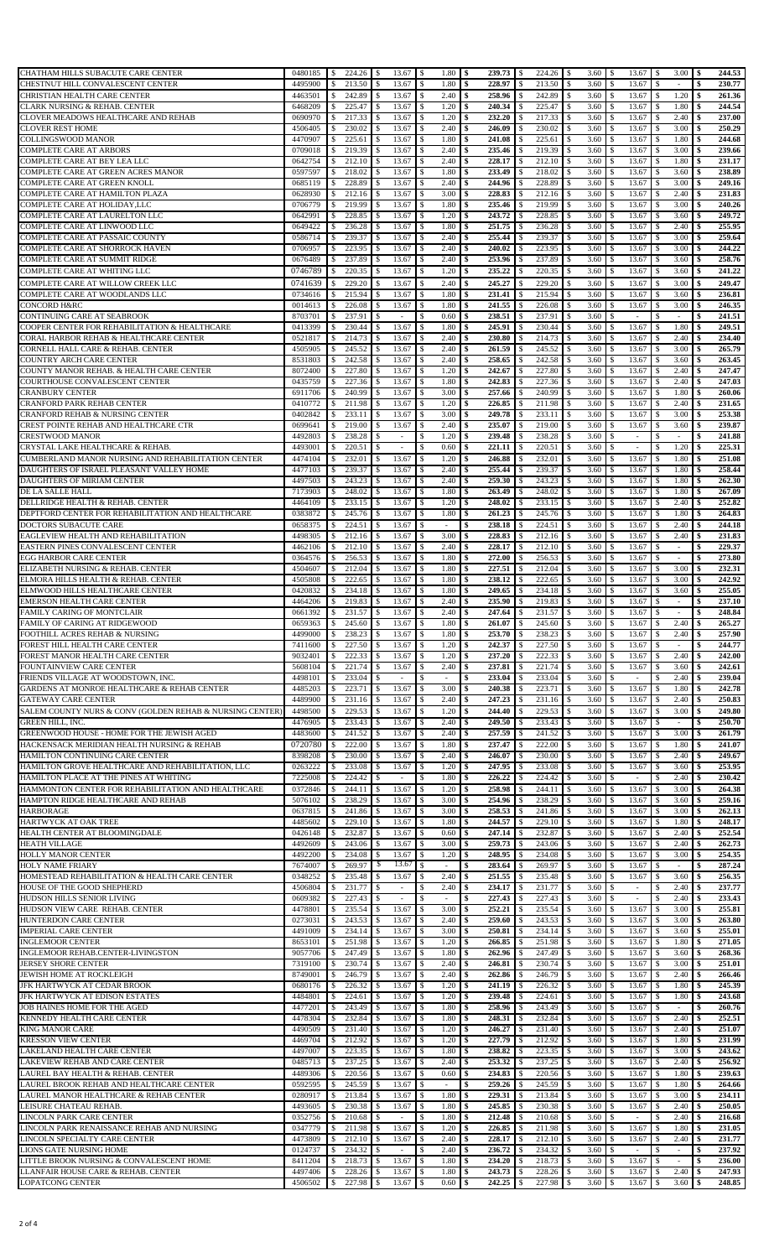| CHATHAM HILLS SUBACUTE CARE CENTER                                                 | 0480185            | $224.26$ \$<br><sup>S</sup>                        |                                | $13.67$ \$<br>1.80                    | l \$                         | $224.26$ \$                             | 3.60                          | -S                             | $3.00 \, \text{S}$                 | 244.53                       |
|------------------------------------------------------------------------------------|--------------------|----------------------------------------------------|--------------------------------|---------------------------------------|------------------------------|-----------------------------------------|-------------------------------|--------------------------------|------------------------------------|------------------------------|
| CHESTNUT HILL CONVALESCENT CENTER                                                  | 4495900            | 213.50<br>\$                                       | 13.67<br>\$                    | 1.80<br>-\$                           | \$<br>228.97                 | 213.50<br>\$                            | 3.60<br>\$                    | 13.67<br>\$                    | \$<br>×.                           | 230.77<br>\$                 |
| CHRISTIAN HEALTH CARE CENTER                                                       | 4463501            | 242.89<br>\$                                       | \$<br>13.67                    | -\$<br>2.40                           | 258.96<br>\$                 | 242.89<br>\$                            | 3.60<br>\$                    | 13.67<br>S                     | 1.20<br><sup>\$</sup>              | 261.36<br>\$                 |
| CLARK NURSING & REHAB. CENTER                                                      | 6468209            | 225.47<br><sup>\$</sup>                            | \$<br>13.67                    | \$<br>1.20                            | 240.34<br>\$                 | 225.47<br>\$                            | 3.60<br>\$                    | 13.67<br>\$.                   | 1.80<br>\$                         | 244.54<br>\$                 |
| CLOVER MEADOWS HEALTHCARE AND REHAB                                                | 0690970            | 217.33                                             | 13.67<br>\$                    | 1.20<br>-\$                           | 232.20<br>\$                 | 217.33<br>\$                            | 3.60<br>\$                    | 13.67<br>\$                    | 2.40<br>-S                         | 237.00<br>\$                 |
| <b>CLOVER REST HOME</b>                                                            | 4506405            | \$<br>230.02                                       | 13.67<br>S.                    | 2.40<br>\$                            | 246.09<br>\$                 | 230.02<br>-S                            | 3.60<br>-S                    | 13.67<br>S.                    | 3.00                               | 250.29                       |
| COLLINGSWOOD MANOR                                                                 | 4470907            | \$<br>225.61                                       | 13.67<br>S                     | 1.80<br>-S                            | 241.08                       | 225.61<br>-S                            | 3.60                          | 13.67<br>\$.                   | S<br>1.80<br>-S                    | \$<br>244.68                 |
| <b>COMPLETE CARE AT ARBORS</b>                                                     | 0709018            | \$<br>219.39<br>\$                                 | 13.67                          | \$<br>2.40                            | 235.46<br>\$                 | 219.39                                  | -S<br>3.60                    | 13.67                          | 3.00<br>S                          | 239.66<br>\$                 |
| COMPLETE CARE AT BEY LEA LLC                                                       | 0642754            | 212.10<br>\$                                       | 13.67<br>\$                    | 2.40<br>-\$                           | 228.17<br>\$                 | 212.10<br>S                             | 3.60                          | 13.67<br>\$.                   | 1.80                               | 231.17                       |
| COMPLETE CARE AT GREEN ACRES MANOR                                                 | 0597597            | 218.02<br>\$                                       | 13.67<br>\$                    | \$<br>1.80                            | 233.49<br>\$                 | 218.02<br>\$                            | 3.60<br>\$                    | 13.67<br>\$.                   | 3.60<br>\$                         | 238.89<br>\$                 |
| COMPLETE CARE AT GREEN KNOLL                                                       | 0685119            | 228.89<br>\$                                       | 13.67<br>\$                    | 2.40<br>-\$                           | 244.96<br>\$                 | 228.89<br>S                             | 3.60<br>S                     | 13.67<br>\$.                   | 3.00<br>S                          | 249.16                       |
| COMPLETE CARE AT HAMILTON PLAZA                                                    | 0628930            | 212.16<br>\$                                       | 13.67                          | 3.00<br>-\$                           | 228.83<br>\$                 | 212.16<br>.S                            | 3.60<br>-S                    | 13.67<br>S                     | 2.40<br>S                          | 231.83<br>\$                 |
| COMPLETE CARE AT HOLIDAY,LLC                                                       | 0706779            | 219.99<br>s.                                       | 13.67<br>\$                    | $\mathbf{\hat{S}}$<br>1.80            | 235.46<br>\$                 | 219.99<br>\$                            | 3.60<br><sup>\$</sup>         | 13.67<br>\$.                   | 3.00<br>\$                         | 240.26<br>\$                 |
| COMPLETE CARE AT LAURELTON LLC                                                     | 0642991            | 228.85<br>-S                                       | 13.67<br>\$                    | 1.20<br>-\$                           | 243.72<br>\$                 | 228.85<br>.S                            | 3.60<br>-S                    | 13.67<br>\$                    | 3.60<br>.S                         | 249.72<br>S                  |
| COMPLETE CARE AT LINWOOD LLC                                                       | 0649422            | 236.28                                             | 13.67                          | \$<br>1.80                            | 251.75<br>\$                 | 236.28<br>.S                            | 3.60<br>-S                    | 13.67                          | 2.40                               | 255.95<br>\$                 |
| COMPLETE CARE AT PASSAIC COUNTY                                                    | 0586714            | -S<br>239.37<br><sup>\$</sup>                      | \$<br>13.67                    | \$<br>2.40                            | 255.44<br>\$                 | 239.37<br>\$                            | 3.60<br>\$                    | 13.67<br>\$.                   | 3.00<br><sup>\$</sup>              | 259.64<br>\$                 |
| COMPLETE CARE AT SHORROCK HAVEN                                                    | 0706957            | 223.95<br>\$                                       | 13.67<br>\$                    | 2.40<br>\$                            | 240.02<br>\$                 | 223.95<br>S                             | 3.60<br>S                     | 13.67<br>S.                    | 3.00<br>S                          | 244.22<br>\$                 |
|                                                                                    | 0676489            | 237.89                                             | 13.67<br>\$                    | 2.40<br>-\$                           | 253.96<br>\$                 | 237.89<br>-S                            | 3.60<br>S                     | 13.67<br>S.                    | 3.60<br>-S                         | 258.76                       |
| COMPLETE CARE AT SUMMIT RIDGE                                                      |                    | \$<br>220.35                                       |                                |                                       |                              |                                         |                               |                                |                                    | \$                           |
| COMPLETE CARE AT WHITING LLC                                                       | 0746789            | \$                                                 | 13.67<br>\$                    | \$<br>1.20                            | 235.22<br>\$                 | 220.35<br>\$                            | 3.60<br>\$                    | 13.67<br>\$                    | 3.60<br>\$                         | 241.22<br>\$                 |
| COMPLETE CARE AT WILLOW CREEK LLC                                                  | 0741639            | 229.20<br><sup>\$</sup>                            | 13.67<br>\$                    | 2.40<br><sup>\$</sup>                 | 245.27<br>\$                 | 229.20<br><sup>\$</sup>                 | 3.60<br>\$                    | 13.67<br>S                     | 3.00<br>\$                         | 249.47<br>\$                 |
| COMPLETE CARE AT WOODLANDS LLC                                                     | 0734616            | 215.94<br>\$                                       | 13.67                          | $\mathcal{S}$<br>1.80                 | 231.41<br>\$                 | 215.94                                  | 3.60<br>-S                    | 13.67                          | 3.60                               | 236.81<br>\$                 |
| <b>CONCORD H&amp;RC</b>                                                            | 0014613            | 226.08<br><sup>\$</sup>                            | \$<br>13.67                    | -\$<br>1.80                           | 241.55<br>\$                 | 226.08<br>\$                            | 3.60<br>\$                    | 13.67<br>\$                    | 3.00<br>S                          | 246.35<br>\$                 |
| CONTINUING CARE AT SEABROOK                                                        | 8703701            | 237.91<br><sup>\$</sup>                            | \$<br>$\overline{\phantom{a}}$ | 0.60<br>\$                            | 238.51<br>\$                 | 237.91<br>S                             | 3.60<br>S                     | \$.<br>$\sim$                  | S<br>$\sim$                        | 241.51<br>\$                 |
| COOPER CENTER FOR REHABILITATION & HEALTHCARE                                      | 0413399            | 230.44<br>\$                                       | 13.67<br>\$                    | 1.80<br>-\$                           | 245.91<br>\$                 | 230.44<br>-S                            | 3.60<br>S                     | 13.67<br>S.                    | 1.80<br>-S                         | 249.51                       |
| CORAL HARBOR REHAB & HEALTHCARE CENTER                                             | 0521817            | 214.73<br><sup>\$</sup>                            | 13.67<br>\$                    | 2.40<br>\$                            | 230.80<br>\$                 | 214.73<br>S                             | 3.60<br>S.                    | 13.67<br>\$.                   | 2.40<br>S                          | 234.40<br>\$                 |
| <b>CORNELL HALL CARE &amp; REHAB. CENTER</b>                                       | 4505905            | 245.52<br>-S                                       | 13.67<br>S                     | 2.40<br>-\$                           | 261.59                       | 245.52                                  | 3.60                          | 13.67                          | 3.00                               | 265.79                       |
| <b>COUNTRY ARCH CARE CENTER</b>                                                    | 8531803            | 242.58<br>\$                                       | 13.67                          | \$<br>2.40                            | 258.65<br>\$                 | 242.58                                  | 3.60                          | 13.67                          | 3.60                               | 263.45<br>\$                 |
| COUNTY MANOR REHAB. & HEALTH CARE CENTER                                           | 8072400            | 227.80<br>\$                                       | 13.67<br>\$                    | -\$<br>1.20                           | 242.67<br>\$                 | 227.80<br>\$                            | 3.60<br><sup>\$</sup>         | 13.67<br>\$.                   | 2.40<br>\$                         | 247.47<br>\$                 |
| COURTHOUSE CONVALESCENT CENTER                                                     | 0435759            | 227.36<br>\$                                       | 13.67<br>S.                    | 1.80<br>-\$                           | 242.83<br>\$                 | 227.36<br>S                             | 3.60<br>S                     | 13.67<br>\$.                   | 2.40<br>S                          | 247.03<br>\$                 |
| <b>CRANBURY CENTER</b>                                                             | 6911706            | 240.99<br>-S                                       | 13.67<br>\$                    | 3.00<br>-\$                           | 257.66<br>\$                 | 240.99<br>S                             | 3.60<br>S                     | 13.67<br>\$.                   | 1.80<br>S                          | 260.06                       |
| <b>CRANFORD PARK REHAB CENTER</b>                                                  | 0410772            | 211.98<br>-S                                       | 13.67                          | -\$<br>1.20                           | 226.85<br>\$                 | 211.98<br>-S                            | 3.60<br>-S                    | 13.67<br>S                     | 2.40<br>-S                         | 231.65<br>S                  |
| CRANFORD REHAB & NURSING CENTER                                                    | 0402842            | 233.11<br>s.                                       | 13.67<br>\$                    | 3.00<br>-S                            | 249.78<br>\$                 | 233.11<br><sup>\$</sup>                 | 3.60<br><sup>\$</sup>         | 13.67<br>\$.                   | 3.00<br>-S                         | 253.38<br>\$                 |
| CREST POINTE REHAB AND HEALTHCARE CTR                                              | 0699641            | 219.00<br>-S                                       | 13.67<br>\$                    | 2.40<br>-\$                           | 235.07<br>\$                 | 219.00<br>-S                            | 3.60<br>\$                    | 13.67<br>\$.                   | 3.60<br>-S                         | 239.87<br>\$                 |
| CRESTWOOD MANOR                                                                    | 4492803            | 238.28<br><sup>\$</sup>                            | \$<br>$\overline{\phantom{a}}$ | \$<br>1.20                            | 239.48<br>\$                 | 238.28<br>\$                            | 3.60<br>\$                    | S.<br>$\sim$                   | S<br>$\sim$                        | 241.88<br>\$                 |
| CRYSTAL LAKE HEALTHCARE & REHAB.                                                   | 4493001            | 220.51<br>-S                                       | \$<br>$\overline{\phantom{a}}$ | \$<br>0.60                            | 221.11<br>\$                 | 220.51<br><sup>\$</sup>                 | 3.60<br>\$                    | \$<br>$\overline{\phantom{a}}$ | 1.20<br><sup>\$</sup>              | 225.31<br>\$                 |
| CUMBERLAND MANOR NURSING AND REHABILITATION CENTER                                 | 4474104            | 232.01<br>\$                                       | 13.67<br>\$                    | $\mathbf{\hat{S}}$<br>1.20            | \$<br>246.88                 | 232.01<br><sup>\$</sup>                 | 3.60<br>\$                    | 13.67<br>S                     | 1.80<br>-S                         | 251.08<br>\$                 |
| DAUGHTERS OF ISRAEL PLEASANT VALLEY HOME                                           | 4477103            | 239.37<br><sup>\$</sup>                            | 13.67<br>\$                    | 2.40<br>-\$                           | 255.44<br>\$                 | 239.37<br>\$                            | 3.60<br>-S                    | 13.67<br>\$                    | 1.80<br>S                          | 258.44<br>Ŝ.                 |
| DAUGHTERS OF MIRIAM CENTER                                                         | 4497503            | 243.23<br><sup>\$</sup>                            | \$<br>13.67                    | \$<br>2.40                            | 259.30<br>\$                 | 243.23<br>\$                            | 3.60<br>\$                    | 13.67<br>\$.                   | 1.80<br><sup>\$</sup>              | 262.30<br>\$                 |
| DE LA SALLE HALL                                                                   | 7173903            | 248.02<br>\$                                       | 13.67<br>\$                    | 1.80<br>-\$                           | 263.49<br>\$                 | 248.02<br>S                             | 3.60<br>-S                    | 13.67<br>\$.                   | 1.80<br>-S                         | 267.09<br>\$                 |
| <b>DELLRIDGE HEALTH &amp; REHAB. CENTER</b>                                        | 4464109            | 233.15<br>-S                                       | 13.67<br>S                     | \$<br>1.20                            | 248.02<br>\$                 | 233.15<br>-S                            | 3.60                          | 13.67<br>S.                    | 2.40<br>S                          | 252.82<br>S                  |
| DEPTFORD CENTER FOR REHABILITATION AND HEALTHCARE                                  | 0383872            | 245.76<br>-S                                       | 13.67<br>\$                    | 1.80<br>-\$                           | 261.23<br>\$                 | 245.76<br>S                             | 3.60<br>S                     | 13.67<br>\$.                   | 1.80<br>S                          | 264.83<br>S                  |
| <b>DOCTORS SUBACUTE CARE</b>                                                       | 0658375            | 224.51<br>\$                                       | 13.67<br>S                     | -\$<br>$\overline{\phantom{a}}$       | 238.18<br>S                  | 224.51<br>S                             | 3.60                          | 13.67<br>\$.                   | 2.40<br>S                          | 244.18<br>Ŝ.                 |
| EAGLEVIEW HEALTH AND REHABILITATION                                                | 4498305            | 212.16<br>\$                                       | 13.67<br>\$                    | 3.00<br>-\$                           | 228.83                       | 212.16                                  | 3.60                          | 13.67                          | 2.40<br>S                          | 231.83<br>\$                 |
| EASTERN PINES CONVALESCENT CENTER                                                  | 4462106            | 212.10<br>\$                                       | 13.67<br>\$                    | \$<br>2.40                            | 228.17<br>\$                 | 212.10<br><sup>\$</sup>                 | 3.60                          | 13.67<br>\$.                   | \$                                 | 229.37<br>\$                 |
| <b>EGG HARBOR CARE CENTER</b>                                                      | 0364576            | 256.53<br>\$                                       | 13.67<br>\$                    | 1.80<br>-\$                           | 272.00<br>\$                 | 256.53<br>S                             | 3.60<br>S                     | 13.67<br>\$.                   | S                                  | 273.80<br>\$                 |
| ELIZABETH NURSING & REHAB. CENTER                                                  | 4504607            | 212.04<br>\$                                       | 13.67<br>\$                    | 1.80<br>-\$                           | 227.51<br>\$                 | 212.04<br>.S                            | 3.60<br>-S                    | 13.67<br>S                     | 3.00<br>S                          | 232.31<br>\$                 |
| ELMORA HILLS HEALTH & REHAB. CENTER                                                | 4505808            | 222.65<br><sup>\$</sup>                            | 13.67<br>\$                    | 1.80<br>- \$                          | 238.12<br>\$                 | 222.65<br><sup>\$</sup>                 | 3.60<br><sup>\$</sup>         | 13.67<br>\$.                   | 3.00<br>\$                         | 242.92<br>\$                 |
| ELMWOOD HILLS HEALTHCARE CENTER                                                    | 0420832            | 234.18<br>-S                                       | 13.67<br>\$                    | 1.80<br>-\$                           | 249.65<br>\$                 | 234.18<br>\$                            | 3.60<br>-S                    | 13.67<br>\$                    | 3.60<br>-S                         | 255.05<br>Ŝ.                 |
| <b>EMERSON HEALTH CARE CENTER</b>                                                  | 4464206            | 219.83<br>S                                        | 13.67                          | 2.40<br><sup>\$</sup>                 | 235.90<br>\$                 | 219.83                                  | 3.60<br>-S                    | 13.67                          | S<br>$\overline{\phantom{a}}$      | 237.10<br>Ŝ.                 |
| FAMILY CARING OF MONTCLAIR                                                         | 0661392            | 231.57<br>\$                                       | $\sqrt{S}$<br>13.67            | -\$<br>2.40                           | \$<br>247.64                 | \$<br>231.57                            | <sup>\$</sup><br>3.60         | \$<br>13.67                    | \$<br>×.                           | \$<br>248.84                 |
| FAMILY OF CARING AT RIDGEWOOD                                                      | 0659363            | $245.60$ \$<br>$\sqrt{S}$                          |                                | $13.67$ \\$<br>1.80                   | $261.07$ \$<br>l \$          | $245.60$ \$                             | 3.60 <sup>8</sup>             | $13.67$ \$                     | $2.40 \,$ \$                       | 265.27                       |
| FOOTHILL ACRES REHAB & NURSING                                                     | 4499000            | 238.23<br>-S                                       | 13.67<br>$\overline{1}$        | 1.80<br>-\$                           | 253.70<br>\$                 | 238.23<br>\$                            | 3.60<br>-S                    | 13.67<br>S                     | 2.40<br>-S                         | 257.90<br>-\$                |
| FOREST HILL HEALTH CARE CENTER                                                     | 7411600            | 227.50<br>\$                                       | 13.67<br>\$                    | 1.20<br>-\$                           | 242.37<br>\$                 | 227.50<br>\$                            | 3.60<br>-S                    | 13.67<br>\$.                   | \$                                 | 244.77<br>\$                 |
| FOREST MANOR HEALTH CARE CENTER                                                    | 9032401            | 222.33<br>S                                        | 13.67<br>\$                    | 1.20<br>- \$                          | 237.20<br>\$                 | 222.33                                  | 3.60                          | 13.67                          | 2.40                               | 242.00                       |
| FOUNTAINVIEW CARE CENTER                                                           | 5608104            | 221.74<br>\$                                       | 13.67                          | \$<br>2.40                            | 237.81<br>\$                 | 221.74                                  | 3.60<br>S.                    | 13.67                          | 3.60<br>s                          | 242.61<br>\$                 |
| FRIENDS VILLAGE AT WOODSTOWN, INC.                                                 | 4498101            | 233.04<br>\$                                       | \$                             | -\$                                   | 233.04<br>\$                 | 233.04<br>S                             | 3.60                          | S.<br>$\overline{a}$           | 2.40                               | 239.04                       |
| GARDENS AT MONROE HEALTHCARE & REHAB CENTER                                        | 4485203            | 223.71<br>\$                                       | 13.67<br>\$                    | 3.00<br>\$                            | \$<br>240.38                 | 223.71<br>S                             | 3.60                          | 13.67<br>\$.                   | 1.80<br>\$                         | 242.78<br>\$                 |
| <b>GATEWAY CARE CENTER</b>                                                         | 4489900            | 231.16<br><sup>\$</sup>                            | 13.67<br>\$                    | 2.40<br>-\$                           | 247.23<br>\$                 | 231.16<br>S                             | 3.60<br>\$                    | 13.67<br>\$.                   | 2.40                               | 250.83                       |
| SALEM COUNTY NURS & CONV (GOLDEN REHAB & NURSING CENTER)                           | 4498500            | 229.53<br>\$                                       | 13.67<br>\$                    | \$<br>1.20                            | \$<br>244.40                 | 229.53<br>\$                            | 3.60<br><sup>\$</sup>         | 13.67<br>\$                    | 3.00<br>\$                         | 249.80<br>\$                 |
| <b>GREEN HILL, INC.</b>                                                            | 4476905            | 233.43<br>\$                                       | 13.67<br>\$                    | \$<br>2.40                            | 249.50                       | 233.43<br>S                             | 3.60                          | 13.67<br>\$.                   | \$                                 | 250.70<br>\$                 |
| <b>GREENWOOD HOUSE - HOME FOR THE JEWISH AGED</b>                                  | 4483600            | 241.52<br><sup>\$</sup>                            | 13.67<br>S                     | 2.40<br>-\$                           | 257.59<br>\$                 | 241.52<br>-S                            | 3.60<br>S                     | 13.67<br>S.                    | 3.00<br>S                          | 261.79<br>\$                 |
| HACKENSACK MERIDIAN HEALTH NURSING & REHAB                                         | 0720780            | 222.00<br><sup>\$</sup>                            | \$<br>13.67                    | -\$<br>1.80                           | 237.47<br>\$                 | 222.00<br>\$                            | 3.60<br>\$                    | 13.67<br>\$.                   |                                    |                              |
|                                                                                    |                    |                                                    |                                |                                       |                              |                                         |                               |                                |                                    |                              |
|                                                                                    |                    |                                                    |                                |                                       |                              |                                         |                               |                                | 1.80<br>S                          | 241.07<br>\$                 |
| HAMILTON CONTINUING CARE CENTER                                                    | 8398208            | 230.00<br><sup>\$</sup>                            | 13.67                          | \$<br>2.40                            | \$<br>246.07                 | 230.00<br><sup>\$</sup>                 | 3.60<br>\$                    | 13.67<br>\$.                   | 2.40<br>\$                         | 249.67<br>\$                 |
| HAMILTON GROVE HEALTHCARE AND REHABILITATION, LLC                                  | 0263222            | 233.08<br><sup>\$</sup>                            | 13.67<br>\$<br>$\sim$          | 1.20<br>-\$                           | 247.95<br>\$                 | 233.08<br>S                             | 3.60<br>S                     | 13.67<br>S                     | 3.60<br>S                          | 253.95                       |
| HAMILTON PLACE AT THE PINES AT WHITING                                             | 7225008            | 224.42<br>-S<br>244.11                             | \$                             | 1.80<br>-S<br><sup>\$</sup>           | 226.22<br>S<br>258.98<br>\$  | 224.42<br>-S<br>244.11<br><sup>\$</sup> | 3.60<br>-S<br><sup>\$</sup>   | S.<br>S                        | 2.40<br>S.<br>3.00<br>\$           | 230.42<br>S<br>\$            |
| HAMMONTON CENTER FOR REHABILITATION AND HEALTHCARE                                 | 0372846            | \$                                                 | 13.67<br>S                     | 1.20<br>-S                            | \$                           | -S                                      | 3.60<br>\$                    | 13.67<br>\$.                   | -S                                 | 264.38<br>\$                 |
| HAMPTON RIDGE HEALTHCARE AND REHAB                                                 | 5076102            | 238.29<br>\$                                       | 13.67                          | 3.00                                  | 254.96                       | 238.29                                  | 3.60                          | 13.67                          | 3.60                               | 259.16                       |
| <b>HARBORAGE</b>                                                                   | 0637815            | 241.86<br>\$                                       | 13.67<br>\$                    | 3.00<br>\$                            | 258.53<br>\$<br>\$           | 241.86<br>S                             | 3.60<br>S                     | 13.67<br>S.<br>\$.             | 3.00<br>S<br><sup>\$</sup>         | 262.13<br>\$                 |
| HARTWYCK AT OAK TREE                                                               | 4485602            | 229.10<br><sup>\$</sup><br>232.87                  | 13.67<br>\$                    | \$<br>1.80                            | 244.57<br>247.14<br>\$       | 229.10<br>\$<br>232.87<br>S             | 3.60<br>\$<br>S               | 13.67<br>S.                    | 1.80<br>2.40<br>S                  | 248.17<br>252.54             |
| HEALTH CENTER AT BLOOMINGDALE                                                      | 0426148            | -S                                                 | 13.67                          | 0.60<br>\$                            |                              |                                         | 3.60                          | 13.67                          |                                    | \$                           |
| <b>HEATH VILLAGE</b>                                                               | 4492609<br>4492200 | 243.06<br>S<br>234.08                              | 13.67<br>\$<br>\$              | 3.00<br>-\$<br>1.20                   | 259.73<br>\$<br>248.95<br>\$ | 243.06<br>-S<br>S                       | 3.60<br>S<br>3.60<br>S.       | 13.67<br>\$.                   | 2.40<br>S<br>3.00<br>S             | 262.73<br>\$                 |
| <b>HOLLY MANOR CENTER</b><br><b>HOLY NAME FRIARY</b>                               | 7674007            | \$<br>269.97<br>\$                                 | 13.67<br>13.67<br>S            | \$<br>-\$<br>$\overline{\phantom{a}}$ | 283.64                       | 234.08<br>269.97                        | 3.60                          | 13.67<br>13.67                 | $\overline{\phantom{a}}$           | 254.35<br>287.24             |
|                                                                                    |                    |                                                    |                                |                                       | \$                           |                                         |                               |                                |                                    | \$                           |
| HOMESTEAD REHABILITATION & HEALTH CARE CENTER<br>HOUSE OF THE GOOD SHEPHERD        | 0348252<br>4506804 | 235.48<br>\$<br>231.77<br><sup>\$</sup>            | 13.67<br>\$                    | \$<br>2.40<br>$\mathbb{S}$<br>2.40    | 251.55<br>234.17<br>\$       | 235.48<br>231.77<br>S                   | 3.60<br>3.60<br><sup>\$</sup> | 13.67<br>\$.<br>$\overline{a}$ | 3.60<br>2.40<br>Ś                  | 256.35<br>237.77             |
|                                                                                    |                    |                                                    | \$<br>$\overline{\phantom{a}}$ | ٠                                     | 227.43<br>\$                 | S                                       | S                             | \$.<br>٠                       | 2.40<br>S                          | \$                           |
| HUDSON HILLS SENIOR LIVING                                                         | 0609382            | 227.43<br><sup>\$</sup>                            | \$                             | -\$                                   | \$                           | 227.43                                  | 3.60                          | \$.                            |                                    | 233.43                       |
| HUDSON VIEW CARE REHAB. CENTER                                                     | 4478801            | 235.54<br><sup>\$</sup><br>243.53<br><sup>\$</sup> | 13.67<br>S                     | 3.00<br>- \$<br>- \$                  | 252.21<br>259.60<br>\$       | 235.54<br>.S<br>\$                      | 3.60<br>-S<br>-S              | 13.67<br>\$                    | 3.00<br>S<br><sup>\$</sup>         | 255.81<br>Ŝ.                 |
| <b>HUNTERDON CARE CENTER</b>                                                       | 0273031            |                                                    | 13.67<br>S.                    | 2.40                                  | \$                           | 243.53<br>.S                            | 3.60<br>-S                    | 13.67<br>S.                    | 3.00<br>S                          | 263.80<br>S                  |
| <b>IMPERIAL CARE CENTER</b>                                                        | 4491009            | 234.14<br>\$                                       | 13.67                          | 3.00<br>\$                            | 250.81                       | 234.14                                  | 3.60                          | 13.67                          | 3.60                               | 255.01                       |
| <b>INGLEMOOR CENTER</b>                                                            | 8653101            | 251.98<br>S                                        | 13.67                          | 1.20<br>-\$                           | 266.85<br>\$                 | 251.98<br>.S                            | 3.60<br>-S                    | 13.67<br>S.<br>S.              | 1.80<br>S                          | 271.05<br>\$                 |
| INGLEMOOR REHAB.CENTER-LIVINGSTON                                                  | 9057706            | 247.49<br>-S                                       | 13.67                          | 1.80<br>\$                            | 262.96<br>\$                 | 247.49<br>S                             | 3.60<br>S                     | 13.67                          | 3.60<br>S                          | 268.36                       |
| <b>JERSEY SHORE CENTER</b><br>JEWISH HOME AT ROCKLEIGH                             | 7319100<br>8749001 | 230.74<br><sup>\$</sup><br>246.79<br>-S            | 13.67<br>\$<br>13.67<br>\$     | -\$<br>2.40<br>2.40<br>\$             | 246.81<br>\$<br>\$           | 230.74<br>\$<br>246.79<br>S             | 3.60<br>\$<br>3.60<br>S       | 13.67<br>\$.<br>13.67<br>S.    | 3.00<br><sup>\$</sup><br>2.40<br>S | \$<br>251.01<br>266.46<br>\$ |
| JFK HARTWYCK AT CEDAR BROOK                                                        | 0680176            | 226.32<br>S                                        | 13.67<br>S.                    | 1.20<br>-S                            | 262.86<br>241.19<br>S        | 226.32<br>S                             | 3.60<br>S                     | 13.67<br>S                     | 1.80<br>-S                         | 245.39<br>S                  |
| JFK HARTWYCK AT EDISON ESTATES                                                     | 4484801            | 224.61<br>\$                                       | 13.67<br>S                     | <sup>\$</sup><br>1.20                 | 239.48<br>\$                 | 224.61<br>S                             | 3.60                          | 13.67<br>\$.                   | 1.80<br>-S                         | 243.68<br>S                  |
| JOB HAINES HOME FOR THE AGED                                                       | 4477201            | 243.49<br>\$                                       | 13.67                          | -\$<br>1.80                           | 258.96                       | 243.49                                  | 3.60                          | 13.67                          | S                                  | 260.76                       |
| KENNEDY HEALTH CARE CENTER                                                         | 4478304            | 232.84<br>\$                                       | 13.67                          | 1.80<br>-\$                           | 248.31<br>\$                 | 232.84<br>S                             | 3.60                          | 13.67<br>S.                    | 2.40                               | 252.51<br>\$                 |
| <b>KING MANOR CARE</b>                                                             | 4490509            | 231.40<br><sup>\$</sup>                            | 13.67<br>\$                    | -\$<br>1.20                           | 246.27<br>\$                 | 231.40<br><sup>\$</sup>                 | 3.60<br>\$                    | 13.67<br>\$.                   | 2.40<br><sup>\$</sup>              | 251.07                       |
| <b>KRESSON VIEW CENTER</b>                                                         | 4469704            | 212.92<br><sup>\$</sup>                            | 13.67                          | 1.20<br>-\$                           | 227.79<br>\$                 | 212.92<br>-S                            | 3.60<br>S                     | 13.67<br>S.                    | 1.80<br>S                          | 231.99<br>\$                 |
| LAKELAND HEALTH CARE CENTER                                                        | 4497007            | 223.35<br>S                                        | 13.67<br>S                     | 1.80<br>-S                            | 238.82<br>\$                 | 223.35<br>-S                            | 3.60<br>-S                    | 13.67                          | 3.00<br>S                          | 243.62                       |
| LAKEVIEW REHAB AND CARE CENTER                                                     | 0485713            | 237.25<br>s.                                       | 13.67<br>\$                    | 2.40<br>-S                            | 253.32<br>\$                 | 237.25<br>-S                            | 3.60<br>-S                    | 13.67<br>\$                    | 2.40<br>-S                         | 256.92<br>\$                 |
| LAUREL BAY HEALTH & REHAB. CENTER                                                  | 4489306            | 220.56<br>\$                                       | 13.67<br>S                     | <sup>\$</sup><br>0.60                 | 234.83<br>\$                 | 220.56<br>-S                            | 3.60<br>-S                    | 13.67<br>S.                    | 1.80<br>S                          | 239.63                       |
|                                                                                    | 0592595            | 245.59<br>S                                        | 13.67                          | -S<br>$\overline{\phantom{a}}$        | 259.26<br>\$                 | 245.59<br>-S                            | 3.60<br>-S                    | 13.67                          | 1.80                               | 264.66<br>Ŝ.                 |
| LAUREL BROOK REHAB AND HEALTHCARE CENTER<br>LAUREL MANOR HEALTHCARE & REHAB CENTER | 0280917            | 213.84<br><sup>\$</sup>                            | 13.67<br>\$                    | \$<br>1.80                            | 229.31<br>\$                 | 213.84<br>\$                            | 3.60<br>\$                    | 13.67<br>\$.                   | 3.00<br>\$                         | 234.11<br>\$                 |
| LEISURE CHATEAU REHAB.                                                             | 4493605            | 230.38<br>\$                                       | 13.67<br>S.                    | 1.80<br>-\$                           | 245.85<br>\$                 | 230.38<br>-S                            | 3.60<br>S                     | 13.67<br>\$.                   | 2.40<br>S                          | 250.05                       |
| <b>LINCOLN PARK CARE CENTER</b>                                                    | 0352756            | 210.68<br>-S                                       | \$<br>$\overline{\phantom{a}}$ | 1.80<br>-\$                           | 212.48<br>\$                 | 210.68<br>S                             | 3.60                          | $\overline{\phantom{a}}$       | 2.40<br>S                          | 216.68                       |
| LINCOLN PARK RENAISSANCE REHAB AND NURSING                                         | 0347779            | 211.98<br>\$                                       | 13.67<br>\$                    | 1.20<br>-\$                           | 226.85<br>\$                 | 211.98<br>S                             | 3.60<br>S                     | 13.67<br>\$                    | 1.80<br>S                          | 231.05<br>Ŝ.                 |
| <b>LINCOLN SPECIALTY CARE CENTER</b>                                               | 4473809            | 212.10<br>\$                                       | 13.67<br>S                     | -\$<br>2.40                           | 228.17<br>\$                 | 212.10<br>-S                            | 3.60                          | 13.67<br>S.                    | 2.40<br>S                          | 231.77<br>Ŝ.                 |
| <b>LIONS GATE NURSING HOME</b>                                                     | 0124737            | 234.32<br>\$                                       | S                              | -\$<br>2.40                           | 236.72                       | 234.32<br>S                             | 3.60                          |                                |                                    | 237.92                       |
| LITTLE BROOK NURSING & CONVALESCENT HOME                                           | 8411204            | 218.73<br>\$                                       | 13.67<br>\$                    | -\$<br>1.80                           | 234.20<br>\$                 | 218.73<br>S                             | 3.60                          | 13.67<br>\$.                   | \$                                 | 236.00<br>\$                 |
| LLANFAIR HOUSE CARE & REHAB. CENTER                                                | 4497406            | 228.26<br><sup>\$</sup>                            | 13.67<br>\$                    | -\$<br>1.80                           | 243.73<br>\$                 | 228.26<br>\$                            | 3.60<br>\$                    | 13.67<br>\$                    | 2.40<br>S                          | 247.93                       |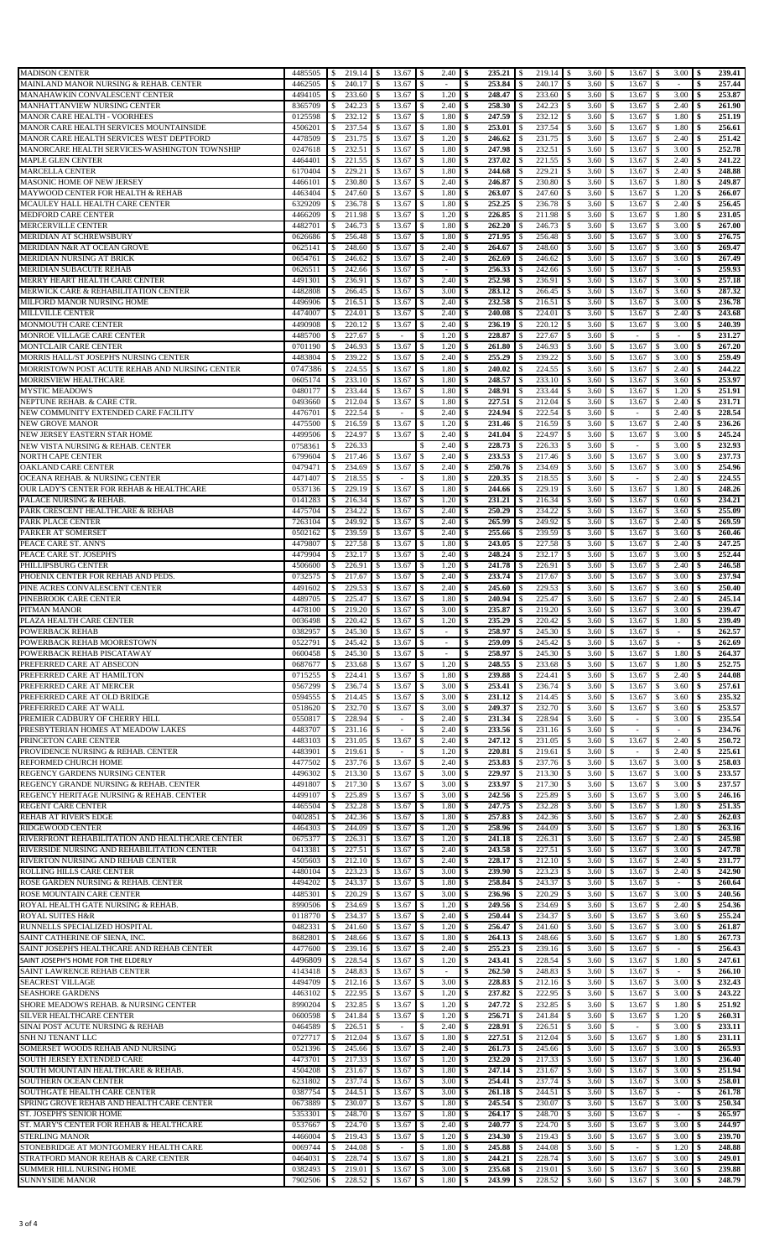| <b>MADISON CENTER</b>                                                                                                                                                                                                                                                                                                                                                                                                                                         | 4485505            | $219.14$ \$<br>$\sqrt{S}$     | 13.67                    | $2.40 \,$ \$<br><b>S</b>                          |                              |                             | $3.60 \, \text{S}$             | $13.67$   \$                         | $3.00 \, \text{S}$                           | 239.41                       |
|---------------------------------------------------------------------------------------------------------------------------------------------------------------------------------------------------------------------------------------------------------------------------------------------------------------------------------------------------------------------------------------------------------------------------------------------------------------|--------------------|-------------------------------|--------------------------|---------------------------------------------------|------------------------------|-----------------------------|--------------------------------|--------------------------------------|----------------------------------------------|------------------------------|
| MAINLAND MANOR NURSING & REHAB. CENTER                                                                                                                                                                                                                                                                                                                                                                                                                        | 4462505            | 240.17<br>\$                  | 13.67                    | -S<br>$\sim$                                      | 253.84<br>\$                 | 240.17<br>\$                | $\mathbf{s}$<br>3.60           | 13.67<br>\$                          | \$                                           | 257.44<br>\$                 |
| MANAHAWKIN CONVALESCENT CENTER                                                                                                                                                                                                                                                                                                                                                                                                                                | 4494105            | 233.60<br>\$                  | 13.67                    | 1.20<br>- \$                                      | 248.47<br>\$                 | 233.60<br>S                 | 3.60<br>$\sim$                 | 13.67<br>\$                          | 3.00<br>S                                    | 253.87<br>Ŝ.                 |
| MANHATTANVIEW NURSING CENTER                                                                                                                                                                                                                                                                                                                                                                                                                                  | 8365709            | 242.23<br>\$                  | 13.67                    | 2.40                                              | 258.30<br>\$                 | 242.23                      | -S<br>3.60                     | \$<br>13.67                          | 2.40                                         | 261.90<br>\$                 |
| MANOR CARE HEALTH - VOORHEES                                                                                                                                                                                                                                                                                                                                                                                                                                  | 0125598            | \$<br>232.12                  | 13.67                    | 1.80<br>- \$                                      | \$<br>247.59                 | 232.12<br>S                 | 3.60<br>-S                     | \$<br>13.67                          | 1.80<br>\$                                   | 251.19<br>\$                 |
| MANOR CARE HEALTH SERVICES MOUNTAINSIDE                                                                                                                                                                                                                                                                                                                                                                                                                       | 4506201            | 237.54<br>\$                  | 13.67                    | 1.80<br>-\$                                       | 253.01<br>\$                 | 237.54<br>S                 | 3.60<br>$\sim$                 | 13.67<br>S                           | 1.80<br>-S                                   | 256.61<br>S                  |
| MANOR CARE HEALTH SERVICES WEST DEPTFORD                                                                                                                                                                                                                                                                                                                                                                                                                      | 4478509            | 231.75<br>\$                  | 13.67                    | 1.20<br>-S                                        | 246.62<br>\$                 | 231.75                      | 3.60<br>-S                     | 13.67<br>\$.                         | 2.40<br>S                                    | 251.42<br>S                  |
| MANORCARE HEALTH SERVICES-WASHINGTON TOWNSHIP                                                                                                                                                                                                                                                                                                                                                                                                                 | 0247618            | 232.51<br>-S                  | 13.67                    | 1.80<br>- \$                                      | 247.98<br>\$                 | 232.51<br>S                 | 3.60<br>-S                     | 13.67<br>S.                          | 3.00<br>-S                                   | 252.78<br>S                  |
| MAPLE GLEN CENTER                                                                                                                                                                                                                                                                                                                                                                                                                                             | 4464401            | 221.55<br>\$                  | 13.67                    | 1.80<br>-S                                        | 237.02<br>\$                 | 221.55<br>S                 | 3.60<br>-S                     | 13.67<br>\$<br>\$.                   | 2.40<br><sup>\$</sup>                        | 241.22<br>S                  |
| MARCELLA CENTER<br>MASONIC HOME OF NEW JERSEY                                                                                                                                                                                                                                                                                                                                                                                                                 | 6170404<br>4466101 | 229.21<br>\$.<br>230.80<br>\$ | 13.67<br>13.67           | - \$<br>1.80<br>2.40                              | 244.68<br>\$<br>246.87<br>\$ | 229.21<br>S<br>230.80<br>S. | 3.60<br>-S<br>3.60<br>S        | 13.67<br>13.67<br>\$                 | 2.40<br>-S<br>1.80<br>\$                     | 248.88<br>S<br>249.87<br>S   |
| MAYWOOD CENTER FOR HEALTH & REHAB                                                                                                                                                                                                                                                                                                                                                                                                                             | 4463404            | 247.60<br>\$                  | 13.67                    | 1.80<br>-\$                                       | \$<br>263.07                 | 247.60<br>S                 | 3.60<br>\$                     | \$<br>13.67                          | 1.20<br>-\$                                  | 266.07<br>\$                 |
| MCAULEY HALL HEALTH CARE CENTER                                                                                                                                                                                                                                                                                                                                                                                                                               | 6329209            | 236.78<br>\$                  | 13.67                    | 1.80<br>-S                                        | 252.25<br>\$                 | 236.78                      | 3.60<br>S                      | 13.67<br>\$                          | 2.40<br>S                                    | 256.45<br>\$                 |
| <b>MEDFORD CARE CENTER</b>                                                                                                                                                                                                                                                                                                                                                                                                                                    | 4466209            | 211.98<br>\$                  | 13.67                    | 1.20<br>-S                                        | 226.85<br>\$                 | 211.98<br>S                 | 3.60<br>-S                     | 13.67<br>S                           | 1.80<br>-S                                   | 231.05<br>\$                 |
| MERCERVILLE CENTER                                                                                                                                                                                                                                                                                                                                                                                                                                            | 4482701            | 246.73<br>S                   | 13.67                    | 1.80                                              | 262.20<br>\$                 | 246.73<br>S.                | 3.60<br>-S                     | 13.67<br>S.                          | 3.00<br>-S                                   | 267.00<br>S                  |
| MERIDIAN AT SCHREWSBURY                                                                                                                                                                                                                                                                                                                                                                                                                                       | 0626686            | \$<br>256.48                  | 13.67                    | 1.80                                              | 271.95<br>\$                 | 256.48                      | 3.60<br>-S                     | 13.67<br>\$                          | 3.00<br>S                                    | 276.75                       |
| MERIDIAN N&R AT OCEAN GROVE                                                                                                                                                                                                                                                                                                                                                                                                                                   | 0625141            | 248.60<br>\$                  | 13.67                    | 2.40<br><sup>\$</sup>                             | 264.67<br>\$                 | 248.60                      | 3.60<br>S                      | 13.67<br>\$                          | 3.60<br>S                                    | 269.47<br>S                  |
| MERIDIAN NURSING AT BRICK                                                                                                                                                                                                                                                                                                                                                                                                                                     | 0654761            | 246.62<br>\$                  | 13.67                    | 2.40<br>- \$                                      | \$<br>262.69                 | 246.62<br>S                 | 3.60<br>\$                     | 13.67<br>\$                          | 3.60<br>\$                                   | 267.49<br>\$                 |
| MERIDIAN SUBACUTE REHAB                                                                                                                                                                                                                                                                                                                                                                                                                                       | 0626511            | 242.66<br>\$                  | 13.67                    | - \$<br>$\sim$                                    | 256.33<br>\$                 | 242.66<br>S                 | 3.60<br>-S                     | 13.67<br>S                           | \$                                           | 259.93<br>\$                 |
| MERRY HEART HEALTH CARE CENTER                                                                                                                                                                                                                                                                                                                                                                                                                                | 4491301            | 236.91<br>-S                  | 13.67                    | 2.40<br>-S                                        | 252.98<br>S                  | 236.91                      | 3.60<br>-S                     | 13.67<br>S                           | 3.00<br>S.                                   | 257.18                       |
| MERWICK CARE & REHABILITATION CENTER                                                                                                                                                                                                                                                                                                                                                                                                                          | 4482808            | 266.45<br><sup>\$</sup>       | 13.67                    | 3.00<br>- \$                                      | 283.12<br>\$                 | 266.45<br><sup>\$</sup>     | 3.60<br>-S                     | 13.67<br>\$.                         | 3.60<br>-S                                   | 287.32<br>\$                 |
| MILFORD MANOR NURSING HOME                                                                                                                                                                                                                                                                                                                                                                                                                                    | 4496906            | 216.51<br>\$                  | 13.67                    | 2.40<br>-S                                        | 232.58<br>\$                 | 216.51<br>S                 | 3.60<br>\$                     | 13.67<br>\$                          | 3.00<br>-S                                   | 236.78<br>S                  |
| MILLVILLE CENTER                                                                                                                                                                                                                                                                                                                                                                                                                                              | 4474007            | 224.01<br>S.                  | 13.67                    | 2.40                                              | 240.08<br>\$                 | 224.01                      | 3.60<br>-S                     | 13.67<br>\$.                         | 2.40<br>-S                                   | 243.68<br>\$                 |
| <b>MONMOUTH CARE CENTER</b>                                                                                                                                                                                                                                                                                                                                                                                                                                   | 4490908            | 220.12<br>\$                  | 13.67                    | 2.40<br>\$                                        | 236.19<br>\$                 | 220.12<br>S                 | 3.60<br>\$                     | 13.67<br>\$                          | 3.00<br>\$                                   | 240.39<br>\$                 |
| MONROE VILLAGE CARE CENTER                                                                                                                                                                                                                                                                                                                                                                                                                                    | 4485700<br>0701190 | 227.67<br>\$<br>246.93        | $\sim$                   | 1.20<br>-S<br>1.20                                | 228.87<br>\$                 | 227.67<br>246.93            | 3.60<br>S.<br>3.60             | \$<br>$\overline{\phantom{a}}$<br>\$ | S<br>$\sim$                                  | 231.27<br>\$<br>267.20       |
| MONTCLAIR CARE CENTER<br>MORRIS HALL/ST JOSEPH'S NURSING CENTER                                                                                                                                                                                                                                                                                                                                                                                               | 4483804            | \$<br>239.22<br>\$            | 13.67<br>13.67           | 2.40<br>-S                                        | 261.80<br>\$<br>255.29<br>\$ | 239.22<br>s                 | -S<br>3.60<br>S.               | 13.67<br>13.67<br>\$                 | 3.00<br>S<br>3.00                            | S<br>259.49<br>S             |
| MORRISTOWN POST ACUTE REHAB AND NURSING CENTER                                                                                                                                                                                                                                                                                                                                                                                                                | 0747386            | 224.55<br>\$                  | 13.67                    | 1.80<br><sup>\$</sup>                             | 240.02<br>\$                 | 224.55<br>S.                | 3.60<br>S                      | 13.67<br>\$                          | \$<br>2.40<br>\$                             | 244.22<br>\$                 |
| <b>MORRISVIEW HEALTHCARE</b>                                                                                                                                                                                                                                                                                                                                                                                                                                  | 0605174            | 233.10<br>\$                  | 13.67                    | 1.80<br>-S                                        | 248.57<br>\$                 | 233.10<br>S                 | 3.60<br>-S                     | 13.67<br>\$                          | 3.60<br>-S                                   | 253.97<br>-\$                |
| <b>MYSTIC MEADOWS</b>                                                                                                                                                                                                                                                                                                                                                                                                                                         | 0480177            | 233.44<br>\$                  | 13.67                    | 1.80                                              | 248.91<br>\$                 | 233.44<br>S                 | 3.60<br>S                      | 13.67<br>\$                          | 1.20<br>\$                                   | 251.91<br>\$                 |
| NEPTUNE REHAB. & CARE CTR.                                                                                                                                                                                                                                                                                                                                                                                                                                    | 0493660            | 212.04<br>\$                  | 13.67                    | 1.80                                              | 227.51<br>\$                 | 212.04<br>\$                | 3.60<br>-S                     | 13.67<br>S                           | 2.40<br>-S                                   | 231.71<br>S                  |
| NEW COMMUNITY EXTENDED CARE FACILITY                                                                                                                                                                                                                                                                                                                                                                                                                          | 4476701            | 222.54<br>\$                  |                          | 2.40                                              | 224.94<br>\$                 | 222.54                      | 3.60<br>-S                     | \$                                   | 2.40<br>S                                    | 228.54<br>S                  |
| NEW GROVE MANOR                                                                                                                                                                                                                                                                                                                                                                                                                                               | 4475500            | 216.59<br>\$                  | 13.67                    | 1.20<br><sup>\$</sup>                             | 231.46<br>\$                 | 216.59<br>S                 | 3.60<br>-S                     | 13.67<br>\$                          | 2.40<br>S                                    | 236.26                       |
| NEW JERSEY EASTERN STAR HOME                                                                                                                                                                                                                                                                                                                                                                                                                                  | 4499506            | 224.97<br>\$                  | 13.67                    | -\$<br>2.40                                       | \$<br>241.04                 | 224.97<br>\$                | 3.60<br>-S                     | 13.67<br>\$                          | 3.00<br>S                                    | 245.24<br>\$                 |
| NEW VISTA NURSING & REHAB. CENTER                                                                                                                                                                                                                                                                                                                                                                                                                             | 0758361            | 226.33<br>\$                  |                          | 2.40<br>-S                                        | 228.73<br>\$                 | 226.33<br>S                 | 3.60<br>-S                     | \$<br>$\sim$                         | 3.00<br>S                                    | 232.93<br>S                  |
| NORTH CAPE CENTER                                                                                                                                                                                                                                                                                                                                                                                                                                             | 6799604            | 217.46<br>-S                  | 13.67                    | 2.40<br>- \$                                      | 233.53<br>\$                 | 217.46<br>S                 | 3.60<br>-S                     | 13.67<br>S.                          | 3.00<br>S                                    | 237.73<br>S                  |
| OAKLAND CARE CENTER                                                                                                                                                                                                                                                                                                                                                                                                                                           | 0479471            | 234.69<br>\$                  | 13.67                    | 2.40<br>- \$                                      | 250.76<br>\$                 | 234.69<br>\$                | 3.60<br>Ŝ.                     | 13.67<br>\$                          | 3.00<br>-S                                   | 254.96<br>\$                 |
| OCEANA REHAB. & NURSING CENTER                                                                                                                                                                                                                                                                                                                                                                                                                                | 4471407            | 218.55<br>\$                  | $\overline{\phantom{a}}$ | 1.80<br>-S                                        | 220.35<br>\$                 | 218.55<br>S                 | 3.60<br>-S                     | \$<br>$\sim$                         | 2.40<br>S                                    | 224.55<br>\$                 |
| OUR LADY'S CENTER FOR REHAB & HEALTHCARE                                                                                                                                                                                                                                                                                                                                                                                                                      | 0537136            | 229.19<br>S.                  | 13.67                    | 1.80                                              | 244.66<br>\$                 | 229.19                      | 3.60<br>S                      | 13.67<br>\$                          | 1.80<br>S                                    | 248.26<br>S                  |
| PALACE NURSING & REHAB.                                                                                                                                                                                                                                                                                                                                                                                                                                       | 0141283            | 216.34<br>\$                  | 13.67                    | 1.20<br>-\$                                       | 231.21<br>\$                 | 216.34<br>S                 | 3.60<br>-S                     | \$<br>13.67                          | 0.60<br>-\$                                  | 234.21<br>\$                 |
| PARK CRESCENT HEALTHCARE & REHAB                                                                                                                                                                                                                                                                                                                                                                                                                              | 4475704            | 234.22<br>\$                  | 13.67                    | 2.40                                              | 250.29<br>\$                 | 234.22                      | 3.60<br>S                      | 13.67<br>\$                          | 3.60<br>\$                                   | 255.09<br>S                  |
| PARK PLACE CENTER                                                                                                                                                                                                                                                                                                                                                                                                                                             | 7263104            | 249.92<br>\$                  | 13.67                    | 2.40<br>- S                                       | 265.99<br>\$                 | 249.92<br>-S                | 3.60<br>S.                     | 13.67<br>S                           | 2.40<br>-S                                   | 269.59<br>\$                 |
| PARKER AT SOMERSET                                                                                                                                                                                                                                                                                                                                                                                                                                            | 0502162            | 239.59<br>\$                  | 13.67                    | 2.40                                              | 255.66<br>\$                 | 239.59                      | 3.60<br><sup>\$</sup>          | 13.67<br>S.                          | 3.60<br>S                                    | 260.46<br>S                  |
| PEACE CARE ST. ANN'S                                                                                                                                                                                                                                                                                                                                                                                                                                          | 4479807            | 227.58<br>\$                  | 13.67                    | 1.80                                              | \$<br>243.05                 | 227.58<br>S                 | 3.60<br>-S                     | 13.67<br>\$                          | 2.40<br>S                                    | 247.25                       |
| PEACE CARE ST. JOSEPH'S<br>PHILLIPSBURG CENTER                                                                                                                                                                                                                                                                                                                                                                                                                | 4479904<br>4506600 | 232.17<br>\$<br>226.91<br>\$  | 13.67<br>13.67           | 2.40<br>-S<br>1.20<br>- \$                        | 248.24<br>\$<br>\$<br>241.78 | 232.17<br>S<br>226.91<br>S  | 3.60<br>-S<br>3.60<br>-S       | 13.67<br>S<br>13.67<br>\$            | 3.00<br>S<br>2.40<br>S                       | 252.44<br>S<br>246.58<br>\$  |
| PHOENIX CENTER FOR REHAB AND PEDS.                                                                                                                                                                                                                                                                                                                                                                                                                            | 0732575            | 217.67<br>\$                  | 13.67                    | 2.40<br>- \$                                      | 233.74<br>\$                 | 217.67<br>S                 | 3.60<br>-S                     | 13.67<br>S                           | 3.00<br>S                                    | 237.94<br>S                  |
| PINE ACRES CONVALESCENT CENTER                                                                                                                                                                                                                                                                                                                                                                                                                                | 4491602            | 229.53<br>\$                  | 13.67                    | 2.40<br>- \$                                      | 245.60<br>\$                 | 229.53                      | 3.60<br>-S                     | 13.67<br>S.                          | 3.60<br>S                                    | 250.40                       |
| PINEBROOK CARE CENTER                                                                                                                                                                                                                                                                                                                                                                                                                                         | 4489705            | 225.47<br><sup>\$</sup>       | 13.67                    | 1.80<br>- \$                                      | 240.94<br>\$                 | 225.47<br><sup>\$</sup>     | 3.60<br><b>S</b>               | 13.67<br>\$.                         | 2.40<br>-S                                   | 245.14<br>\$                 |
| PITMAN MANOR                                                                                                                                                                                                                                                                                                                                                                                                                                                  | 4478100            | 219.20<br>\$                  | 13.67                    | 3.00<br>- \$                                      | 235.87<br>\$                 | 219.20<br>S                 | 3.60<br>S.                     | 13.67<br>S                           | 3.00<br>S                                    | 239.47<br>S                  |
| PLAZA HEALTH CARE CENTER                                                                                                                                                                                                                                                                                                                                                                                                                                      | 0036498            | 220.42<br>\$                  | 13.67<br>$\sqrt{3}$      | 1.20<br>$\sqrt{5}$                                | \$<br>235.29 \$              | 220.42 \$                   | 3.60 S                         | 13.67                                | $1.80$ \$<br>-S                              | 239.49                       |
| POWERBACK REHAB                                                                                                                                                                                                                                                                                                                                                                                                                                               | 0382957            | $\mathbb{S}$<br>245.30        | 13.67<br>- \$            | l \$<br>$\overline{\phantom{a}}$                  | \$<br>258.97 \$              | $245.30$ \$                 | $3.60 \, \text{S}$             | 13.67                                | - \$<br>$\sim$                               | 262.57<br><b>S</b>           |
| POWERBACK REHAB MOORESTOWN                                                                                                                                                                                                                                                                                                                                                                                                                                    | 0522791            |                               |                          |                                                   |                              |                             |                                | 13.67                                | -\$                                          | 262.69<br>\$                 |
|                                                                                                                                                                                                                                                                                                                                                                                                                                                               |                    | 245.42<br>\$                  | 13.67                    | - \$<br>$\sim$                                    | \$<br>259.09                 | 245.42<br>\$                | $3.60 \, \text{S}$<br><b>S</b> |                                      |                                              |                              |
|                                                                                                                                                                                                                                                                                                                                                                                                                                                               | 0600458            | 245.30<br>\$                  | 13.67                    | $\sim$                                            | \$<br>258.97                 | 245.30<br>S.                | 3.60<br>\$                     | 13.67<br>\$                          | 1.80<br>\$                                   | 264.37<br>\$                 |
|                                                                                                                                                                                                                                                                                                                                                                                                                                                               | 0687677            | 233.68<br>\$                  | 13.67                    | 1.20<br>-S                                        | 248.55<br>\$                 | 233.68<br>S                 | 3.60<br>S.                     | 13.67<br>\$                          | 1.80<br>\$                                   | 252.75<br>\$                 |
|                                                                                                                                                                                                                                                                                                                                                                                                                                                               | 0715255            | 224.41<br>\$                  | 13.67                    | 1.80                                              | 239.88<br>\$                 | 224.41<br>S                 | 3.60<br>Ŝ.                     | 13.67<br>\$.                         | 2.40<br><sup>\$</sup>                        | 244.08<br>\$                 |
|                                                                                                                                                                                                                                                                                                                                                                                                                                                               | 0567299            | 236.74<br>\$                  | 13.67                    | 3.00                                              | 253.41<br>\$                 | 236.74<br>S                 | 3.60<br>-S                     | 13.67<br>\$.                         | 3.60<br>S                                    | 257.61<br>\$                 |
|                                                                                                                                                                                                                                                                                                                                                                                                                                                               | 0594555            | 214.45<br>\$                  | 13.67                    | 3.00<br><sup>\$</sup>                             | 231.12<br>\$                 | 214.45<br>S                 | 3.60<br>-S                     | 13.67<br>S                           | 3.60<br>S                                    | 235.32<br>S                  |
| POWERBACK REHAB PISCATAWAY<br>PREFERRED CARE AT ABSECON<br>PREFERRED CARE AT HAMILTON<br>PREFERRED CARE AT MERCER<br>PREFERRED CARE AT OLD BRIDGE<br>PREFERRED CARE AT WALL                                                                                                                                                                                                                                                                                   | 0518620            | 232.70<br>\$                  | 13.67                    | 3.00<br>-S                                        | 249.37<br>\$                 | 232.70<br>\$                | 3.60<br>\$                     | 13.67<br>\$                          | 3.60<br>S                                    | 253.57<br>\$                 |
|                                                                                                                                                                                                                                                                                                                                                                                                                                                               | 0550817            | 228.94<br>\$                  | $\sim$                   | 2.40<br>-\$                                       | 231.34<br>\$                 | 228.94<br><sup>\$</sup>     | 3.60<br>-S                     | S<br>$\overline{\phantom{a}}$        | 3.00<br>\$                                   | 235.54<br>\$                 |
|                                                                                                                                                                                                                                                                                                                                                                                                                                                               | 4483707            | \$<br>231.16                  | $\overline{\phantom{a}}$ | 2.40<br>-S                                        | 233.56<br>\$                 | 231.16<br>S                 | 3.60<br>-S                     | S.<br>$\sim$                         | -S<br>÷.                                     | 234.76<br>S                  |
|                                                                                                                                                                                                                                                                                                                                                                                                                                                               | 4483103            | 231.05<br><sup>\$</sup>       | 13.67<br>\$              | 2.40<br>-\$                                       | 247.12<br>\$                 | 231.05<br><sup>\$</sup>     | $\mathbf{s}$<br>3.60           | 13.67<br>S                           | 2.40<br>\$                                   | 250.72<br>\$                 |
|                                                                                                                                                                                                                                                                                                                                                                                                                                                               | 4483901            | 219.61<br>\$                  | $\overline{\phantom{a}}$ | 1.20<br>-S                                        | 220.81<br>\$                 | 219.61<br>S.                | 3.60<br>-S                     | S<br>$\overline{\phantom{a}}$        | 2.40<br>S                                    | 225.61<br>\$                 |
| PREMIER CADBURY OF CHERRY HILL<br>PRESBYTERIAN HOMES AT MEADOW LAKES<br>PRINCETON CARE CENTER<br>PROVIDENCE NURSING & REHAB. CENTER<br>REFORMED CHURCH HOME                                                                                                                                                                                                                                                                                                   | 4477502            | 237.76<br>\$                  | 13.67                    | 2.40<br>-\$                                       | 253.83<br>\$                 | 237.76<br>\$                | 3.60<br>-S                     | 13.67<br>\$                          | 3.00<br>-\$                                  | 258.03<br>\$                 |
|                                                                                                                                                                                                                                                                                                                                                                                                                                                               | 4496302            | 213.30<br>\$                  | 13.67                    | 3.00                                              | 229.97<br>\$                 | 213.30<br>S.                | 3.60<br>\$                     | 13.67<br>\$                          | 3.00<br>\$                                   | 233.57<br>\$                 |
| REGENCY GARDENS NURSING CENTER<br>REGENCY GRANDE NURSING & REHAB. CENTER<br>REGENCY HERITAGE NURSING & REHAB. CENTER                                                                                                                                                                                                                                                                                                                                          | 4491807<br>4499107 | 217.30<br>\$<br>225.89        | 13.67<br>13.67           | 3.00<br>-\$<br>3.00<br>-S                         | 233.97<br>\$<br>242.56       | 217.30<br>S                 | 3.60<br>-S<br>3.60<br>S        | 13.67<br>\$<br>13.67<br>S            | 3.00<br>-\$<br>3.00<br>-S                    | 237.57<br>\$<br>246.16<br>\$ |
|                                                                                                                                                                                                                                                                                                                                                                                                                                                               | 4465504            | \$<br>232.28<br>\$            | 13.67                    | 1.80<br>-S                                        | \$<br>247.75<br>\$           | 225.89<br>232.28<br>S       | 3.60<br>S.                     | 13.67<br>\$                          | 1.80<br>\$                                   | 251.35<br>S                  |
|                                                                                                                                                                                                                                                                                                                                                                                                                                                               | 0402851            | 242.36<br>S                   | 13.67                    | 1.80<br>- \$                                      | 257.83<br>\$                 | 242.36                      | 3.60<br>-S                     | 13.67<br>\$                          | 2.40<br>S                                    | 262.03<br>\$                 |
|                                                                                                                                                                                                                                                                                                                                                                                                                                                               | 4464303            | 244.09<br>\$                  | 13.67                    | 1.20                                              | 258.96<br>\$                 | 244.09                      | 3.60<br>-S                     | 13.67<br>\$                          | 1.80<br>S                                    | 263.16<br>\$                 |
|                                                                                                                                                                                                                                                                                                                                                                                                                                                               | 0675377            | 226.31<br>\$                  | 13.67                    | - \$<br>1.20                                      | 241.18<br>\$                 | 226.31<br>\$                | 3.60<br>\$                     | 13.67<br>\$                          | 2.40<br>\$                                   | 245.98<br>\$                 |
| REGENT CARE CENTER<br>REHAB AT RIVER'S EDGE<br>RIDGEWOOD CENTER<br>RIVERFRONT REHABILITATION AND HEALTHCARE CENTER<br>RIVERSIDE NURSING AND REHABILITATION CENTER                                                                                                                                                                                                                                                                                             | 0413381            | 227.51<br>\$                  | 13.67                    | 2.40<br>- \$                                      | 243.58<br>\$                 | 227.51<br>S.                | 3.60<br>-S                     | 13.67<br>\$                          | 3.00<br>S                                    | 247.78<br>\$                 |
|                                                                                                                                                                                                                                                                                                                                                                                                                                                               | 4505603            | 212.10<br><sup>\$</sup>       | 13.67                    | 2.40<br>- \$                                      | 228.17<br>\$                 | 212.10<br>S                 | 3.60<br>-S                     | 13.67<br>S.                          | 2.40<br>S                                    | 231.77<br>\$                 |
|                                                                                                                                                                                                                                                                                                                                                                                                                                                               | 4480104            | 223.23<br>\$                  | 13.67                    | 3.00<br>-S                                        | 239.90<br>\$                 | 223.23<br>\$                | 3.60<br>Ŝ.                     | 13.67<br>\$.                         | 2.40<br><sup>\$</sup>                        | 242.90<br>\$                 |
| RIVERTON NURSING AND REHAB CENTER<br>ROLLING HILLS CARE CENTER<br>ROSE GARDEN NURSING & REHAB. CENTER                                                                                                                                                                                                                                                                                                                                                         | 4494202            | 243.37<br>\$                  | 13.67                    | 1.80<br>l \$                                      | 258.84<br>\$                 | 243.37<br>S                 | 3.60<br>-S                     | 13.67<br>\$                          | \$<br>$\sim$                                 | 260.64<br>S                  |
| ROSE MOUNTAIN CARE CENTER                                                                                                                                                                                                                                                                                                                                                                                                                                     | 4485301            | 220.29<br>\$                  | 13.67                    | 3.00                                              | 236.96<br>\$                 | 220.29                      | 3.60<br>S                      | 13.67<br>S                           | 3.00<br>-S                                   | 240.56<br>S                  |
| ROYAL HEALTH GATE NURSING & REHAB.                                                                                                                                                                                                                                                                                                                                                                                                                            | 8990506            | 234.69<br>\$                  | 13.67                    | 1.20<br>-\$                                       | 249.56<br>\$                 | 234.69<br>\$                | 3.60<br>-S                     | \$<br>13.67                          | 2.40<br>-\$                                  | 254.36<br><b>S</b>           |
|                                                                                                                                                                                                                                                                                                                                                                                                                                                               | 0118770            | 234.37<br>\$                  | 13.67                    | 2.40                                              | 250.44<br>\$                 | 234.37                      | 3.60<br>S                      | 13.67<br>\$                          | 3.60<br>S                                    | 255.24<br>\$                 |
|                                                                                                                                                                                                                                                                                                                                                                                                                                                               | 0482331            | 241.60<br>\$                  | 13.67                    | 1.20<br>-S                                        | 256.47<br>\$                 | 241.60<br>S                 | 3.60<br>-S                     | 13.67<br>\$                          | 3.00<br>-S                                   | 261.87<br>\$                 |
|                                                                                                                                                                                                                                                                                                                                                                                                                                                               | 8682801            | 248.66<br>\$                  | 13.67                    | 1.80<br>-S                                        | 264.13<br>\$                 | 248.66<br>-S                | 3.60<br>S                      | 13.67<br>S                           | 1.80<br>-S                                   | 267.73<br>-\$                |
|                                                                                                                                                                                                                                                                                                                                                                                                                                                               | 4477600            | 239.16<br>\$                  | 13.67                    | 2.40                                              | 255.23<br>\$                 | 239.16<br>\$<br>S.          | 3.60<br>-S                     | 13.67<br>\$.                         | -S<br>$\overline{\phantom{a}}$               | 256.43<br>S                  |
|                                                                                                                                                                                                                                                                                                                                                                                                                                                               | 4496809<br>4143418 | 228.54<br>\$<br>248.83<br>\$  | 13.67<br>13.67           | 1.20<br><sup>\$</sup><br>$\overline{\phantom{a}}$ | 243.41<br>\$<br>262.50<br>\$ | 228.54<br>248.83<br>-S      | 3.60<br>S<br>3.60<br>-S        | 13.67<br>\$<br>13.67<br>S            | 1.80<br>\$<br>-S<br>$\overline{\phantom{a}}$ | 247.61<br>\$<br>266.10<br>\$ |
|                                                                                                                                                                                                                                                                                                                                                                                                                                                               | 4494709            | 212.16<br>\$                  | 13.67                    | 3.00<br>-S                                        | 228.83<br>\$                 | 212.16<br>S                 | 3.60<br>Ŝ.                     | 13.67<br>S.                          | 3.00<br>-S                                   | 232.43<br>\$                 |
|                                                                                                                                                                                                                                                                                                                                                                                                                                                               | 4463102            | 222.95<br>\$                  | 13.67                    | 1.20                                              | 237.82<br>\$                 | 222.95                      | 3.60<br>-S                     | 13.67<br>\$.                         | 3.00<br>S                                    | 243.22<br>S                  |
|                                                                                                                                                                                                                                                                                                                                                                                                                                                               | 8990204            | 232.85<br>\$                  | 13.67                    | 1.20                                              | 247.72<br>\$                 | 232.85<br>S.                | S<br>3.60                      | 13.67<br>S.                          | 1.80<br>S                                    | 251.92<br>\$                 |
|                                                                                                                                                                                                                                                                                                                                                                                                                                                               | 0600598            | 241.84<br>\$                  | 13.67                    | 1.20<br>-S                                        | 256.71<br>\$                 | 241.84<br>S                 | 3.60<br>-S                     | 13.67<br>\$.                         | 1.20<br>-S                                   | 260.31<br>\$                 |
|                                                                                                                                                                                                                                                                                                                                                                                                                                                               | 0464589            | 226.51<br>\$                  |                          | 2.40                                              | 228.91<br>\$                 | 226.51<br>S                 | 3.60<br>-S                     | \$                                   | 3.00<br>\$                                   | 233.11<br>\$                 |
|                                                                                                                                                                                                                                                                                                                                                                                                                                                               | 0727717            | 212.04<br>\$                  | 13.67                    | 1.80<br>-S                                        | 227.51<br>\$                 | 212.04<br>S                 | 3.60<br>-S                     | 13.67<br>\$                          | 1.80<br>S                                    | 231.11<br>S                  |
|                                                                                                                                                                                                                                                                                                                                                                                                                                                               | 0521396            | 245.66<br>\$                  | 13.67                    | 2.40<br>-S                                        | \$<br>261.73                 | 245.66<br>\$                | 3.60<br>\$                     | 13.67<br>\$                          | 3.00<br>\$                                   | 265.93<br>\$                 |
| ROYAL SUITES H&R<br>RUNNELLS SPECIALIZED HOSPITAL<br>SAINT CATHERINE OF SIENA, INC.<br>SAINT JOSEPH'S HEALTHCARE AND REHAB CENTER<br>SAINT JOSEPH'S HOME FOR THE ELDERLY<br>SAINT LAWRENCE REHAB CENTER<br><b>SEACREST VILLAGE</b><br>SEASHORE GARDENS<br>SHORE MEADOWS REHAB. & NURSING CENTER<br>SILVER HEALTHCARE CENTER<br>SINAI POST ACUTE NURSING & REHAB<br>SNH NJ TENANT LLC<br>SOMERSET WOODS REHAB AND NURSING<br><b>SOUTH JERSEY EXTENDED CARE</b> | 4473701            | 217.33<br>\$                  | 13.67                    | 1.20<br>- \$                                      | 232.20<br>\$                 | 217.33<br>S                 | 3.60<br>-S                     | 13.67<br>\$                          | 1.80<br>\$                                   | 236.40<br>\$                 |
|                                                                                                                                                                                                                                                                                                                                                                                                                                                               | 4504208            | 231.67<br>-S                  | 13.67                    | 1.80<br>- \$                                      | 247.14<br>\$                 | 231.67<br>S                 | 3.60<br>l S                    | 13.67<br>S.                          | 3.00<br>-S                                   | 251.94<br>\$                 |
| SOUTH MOUNTAIN HEALTHCARE & REHAB.<br>SOUTHERN OCEAN CENTER                                                                                                                                                                                                                                                                                                                                                                                                   | 6231802            | 237.74<br>\$                  | 13.67                    | 3.00<br>- \$                                      | 254.41<br>\$                 | 237.74<br>\$                | 3.60<br>Ŝ.                     | 13.67<br>\$                          | 3.00<br>-S                                   | 258.01<br>\$                 |
| <b>SOUTHGATE HEALTH CARE CENTER</b>                                                                                                                                                                                                                                                                                                                                                                                                                           | 0387754            | 244.51<br>\$                  | 13.67                    | 3.00<br>- \$                                      | 261.18<br>\$                 | 244.51<br>S                 | 3.60<br>-S                     | 13.67<br>\$                          | -S<br>$\overline{\phantom{a}}$               | 261.78<br>S                  |
| SPRING GROVE REHAB AND HEALTH CARE CENTER                                                                                                                                                                                                                                                                                                                                                                                                                     | 0673889            | 230.07<br>\$                  | 13.67                    | 1.80<br>-S                                        | 245.54<br>\$                 | 230.07<br>S                 | 3.60<br>\$                     | 13.67<br>\$                          | 3.00<br>\$                                   | 250.34<br>\$                 |
| ST. JOSEPH'S SENIOR HOME                                                                                                                                                                                                                                                                                                                                                                                                                                      | 5353301            | 248.70<br>\$                  | 13.67                    | 1.80<br>-\$                                       | \$<br>264.17                 | 248.70<br>\$                | 3.60<br>-S                     | \$<br>13.67                          | \$<br>$\sim$                                 | 265.97<br>\$                 |
| ST. MARY'S CENTER FOR REHAB & HEALTHCARE                                                                                                                                                                                                                                                                                                                                                                                                                      | 0537667            | 224.70<br>\$                  | 13.67                    | 2.40                                              | 240.77<br>\$                 | 224.70                      | 3.60<br>S                      | 13.67<br>S                           | 3.00<br>S                                    | 244.97<br>\$                 |
| STERLING MANOR                                                                                                                                                                                                                                                                                                                                                                                                                                                | 4466004            | 219.43<br>\$                  | 13.67<br>$\sim$          | 1.20<br>-S                                        | 234.30<br>\$                 | 219.43<br>S                 | 3.60<br>-S                     | 13.67<br>\$<br>$\sim$                | 3.00<br>\$                                   | 239.70<br>l \$               |
| STONEBRIDGE AT MONTGOMERY HEALTH CARE<br>STRATFORD MANOR REHAB & CARE CENTER                                                                                                                                                                                                                                                                                                                                                                                  | 0069744<br>0464031 | 244.08<br>\$<br>228.74<br>\$  | 13.67                    | 1.80<br>-S<br>1.80                                | 245.88<br>\$<br>244.21<br>\$ | 244.08<br>S<br>228.74       | 3.60<br>S<br>3.60<br>-S        | \$<br>13.67<br>\$                    | 1.20<br>\$<br>3.00<br>S                      | 248.88<br>\$<br>249.01<br>S  |
| <b>SUMMER HILL NURSING HOME</b>                                                                                                                                                                                                                                                                                                                                                                                                                               | 0382493            | 219.01<br>S                   | 13.67                    | 3.00                                              | 235.68<br>\$                 | 219.01                      | 3.60<br>-S                     | \$.<br>13.67                         | 3.60                                         | 239.88<br>\$                 |